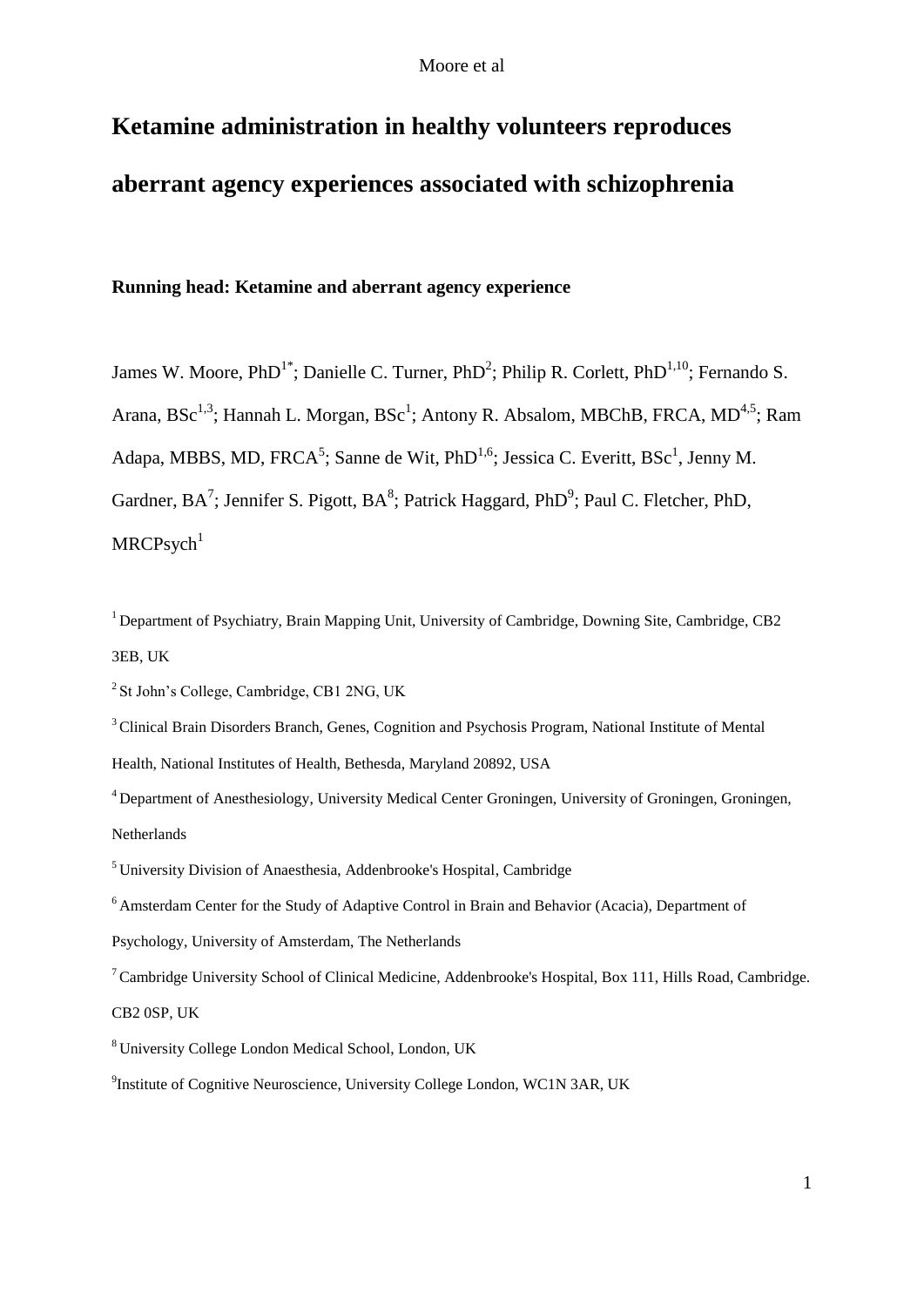# **Ketamine administration in healthy volunteers reproduces aberrant agency experiences associated with schizophrenia**

## **Running head: Ketamine and aberrant agency experience**

James W. Moore, PhD<sup>1\*</sup>; Danielle C. Turner, PhD<sup>2</sup>; Philip R. Corlett, PhD<sup>1,10</sup>; Fernando S. Arana, BSc<sup>1,3</sup>; Hannah L. Morgan, BSc<sup>1</sup>; Antony R. Absalom, MBChB, FRCA, MD<sup>4,5</sup>; Ram Adapa, MBBS, MD, FRCA<sup>5</sup>; Sanne de Wit, PhD<sup>1,6</sup>; Jessica C. Everitt, BSc<sup>1</sup>, Jenny M. Gardner,  $BA^7$ ; Jennifer S. Pigott,  $BA^8$ ; Patrick Haggard, PhD<sup>9</sup>; Paul C. Fletcher, PhD,  $MRCP<sub>S</sub>ych<sup>1</sup>$ 

<sup>1</sup> Department of Psychiatry, Brain Mapping Unit, University of Cambridge, Downing Site, Cambridge, CB2 3EB, UK

<sup>4</sup> Department of Anesthesiology, University Medical Center Groningen, University of Groningen, Groningen, Netherlands

 $2$  St John's College, Cambridge, CB1 2NG, UK

<sup>&</sup>lt;sup>3</sup> Clinical Brain Disorders Branch, Genes, Cognition and Psychosis Program, National Institute of Mental Health, National Institutes of Health, Bethesda, Maryland 20892, USA

<sup>5</sup> University Division of Anaesthesia, Addenbrooke's Hospital, Cambridge

<sup>&</sup>lt;sup>6</sup> Amsterdam Center for the Study of Adaptive Control in Brain and Behavior (Acacia), Department of

Psychology, University of Amsterdam, The Netherlands

 $7$  Cambridge University School of Clinical Medicine, Addenbrooke's Hospital, Box 111, Hills Road, Cambridge. CB2 0SP, UK

<sup>8</sup> University College London Medical School, London, UK

<sup>9</sup> Institute of Cognitive Neuroscience, University College London, WC1N 3AR, UK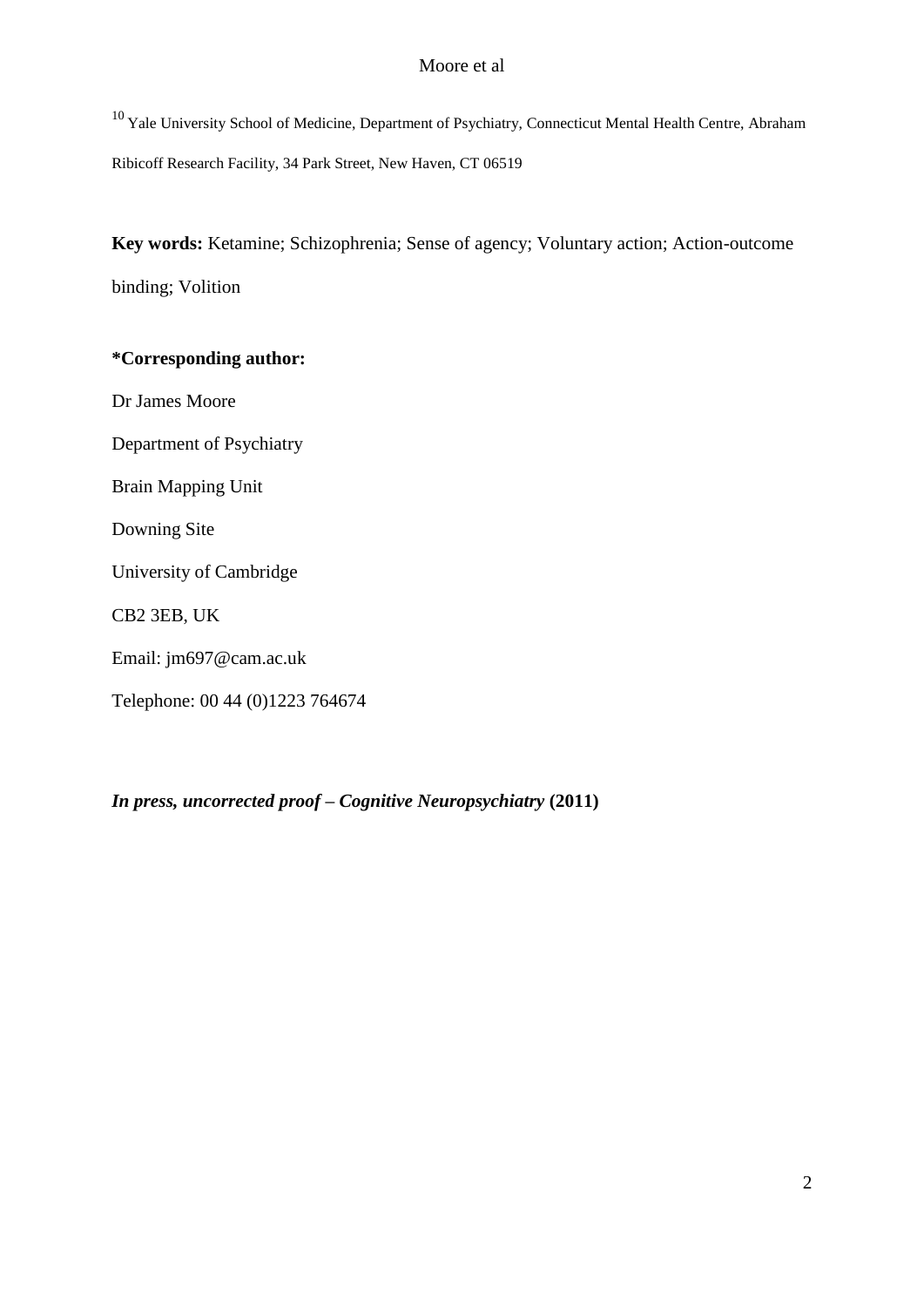<sup>10</sup> Yale University School of Medicine, Department of Psychiatry, Connecticut Mental Health Centre, Abraham Ribicoff Research Facility, 34 Park Street, New Haven, CT 06519

**Key words:** Ketamine; Schizophrenia; Sense of agency; Voluntary action; Action-outcome binding; Volition

## **\*Corresponding author:**

Dr James Moore

Department of Psychiatry

Brain Mapping Unit

Downing Site

University of Cambridge

CB2 3EB, UK

Email: jm697@cam.ac.uk

Telephone: 00 44 (0)1223 764674

*In press, uncorrected proof – Cognitive Neuropsychiatry* **(2011)**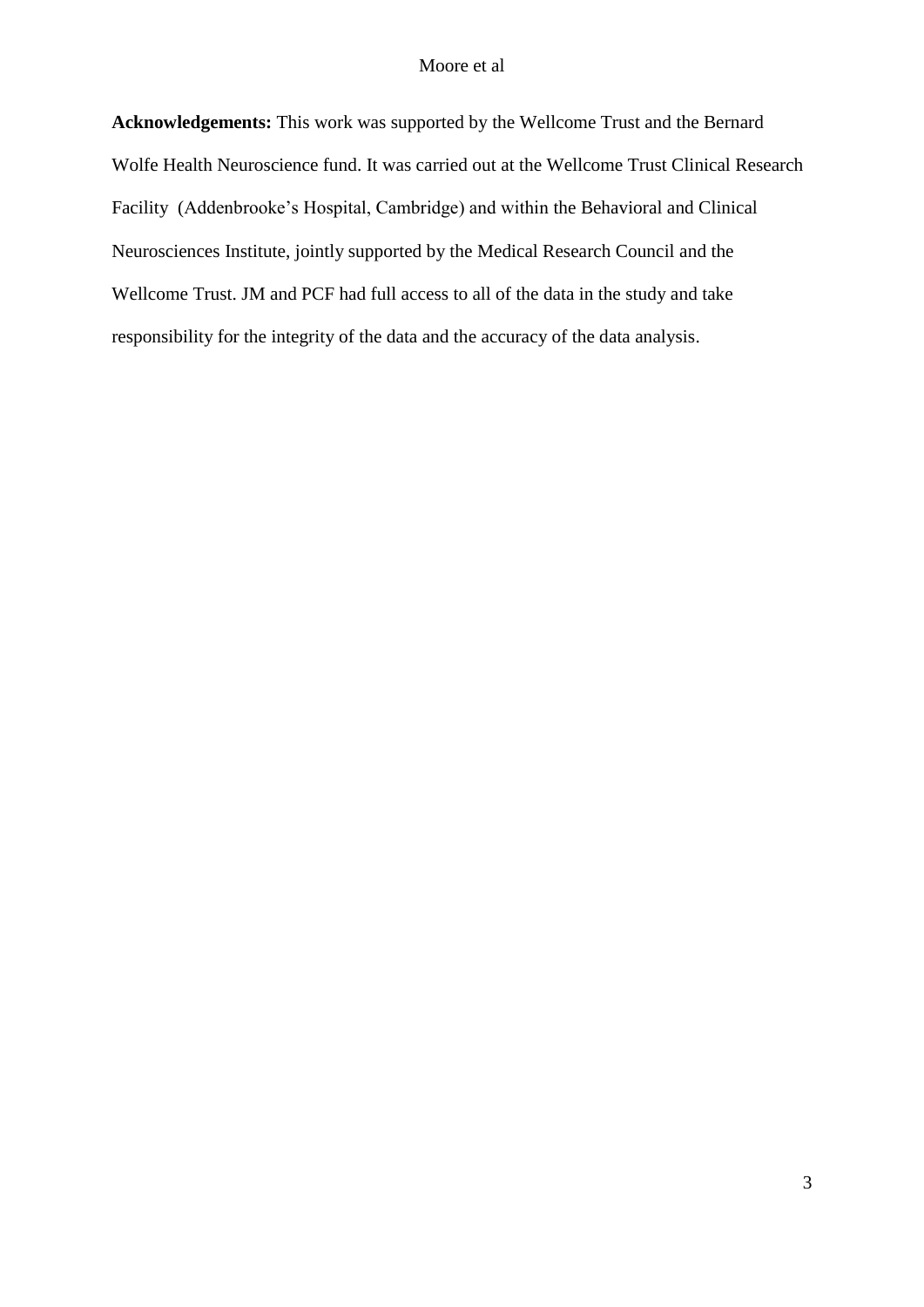**Acknowledgements:** This work was supported by the Wellcome Trust and the Bernard Wolfe Health Neuroscience fund. It was carried out at the Wellcome Trust Clinical Research Facility (Addenbrooke's Hospital, Cambridge) and within the Behavioral and Clinical Neurosciences Institute, jointly supported by the Medical Research Council and the Wellcome Trust. JM and PCF had full access to all of the data in the study and take responsibility for the integrity of the data and the accuracy of the data analysis.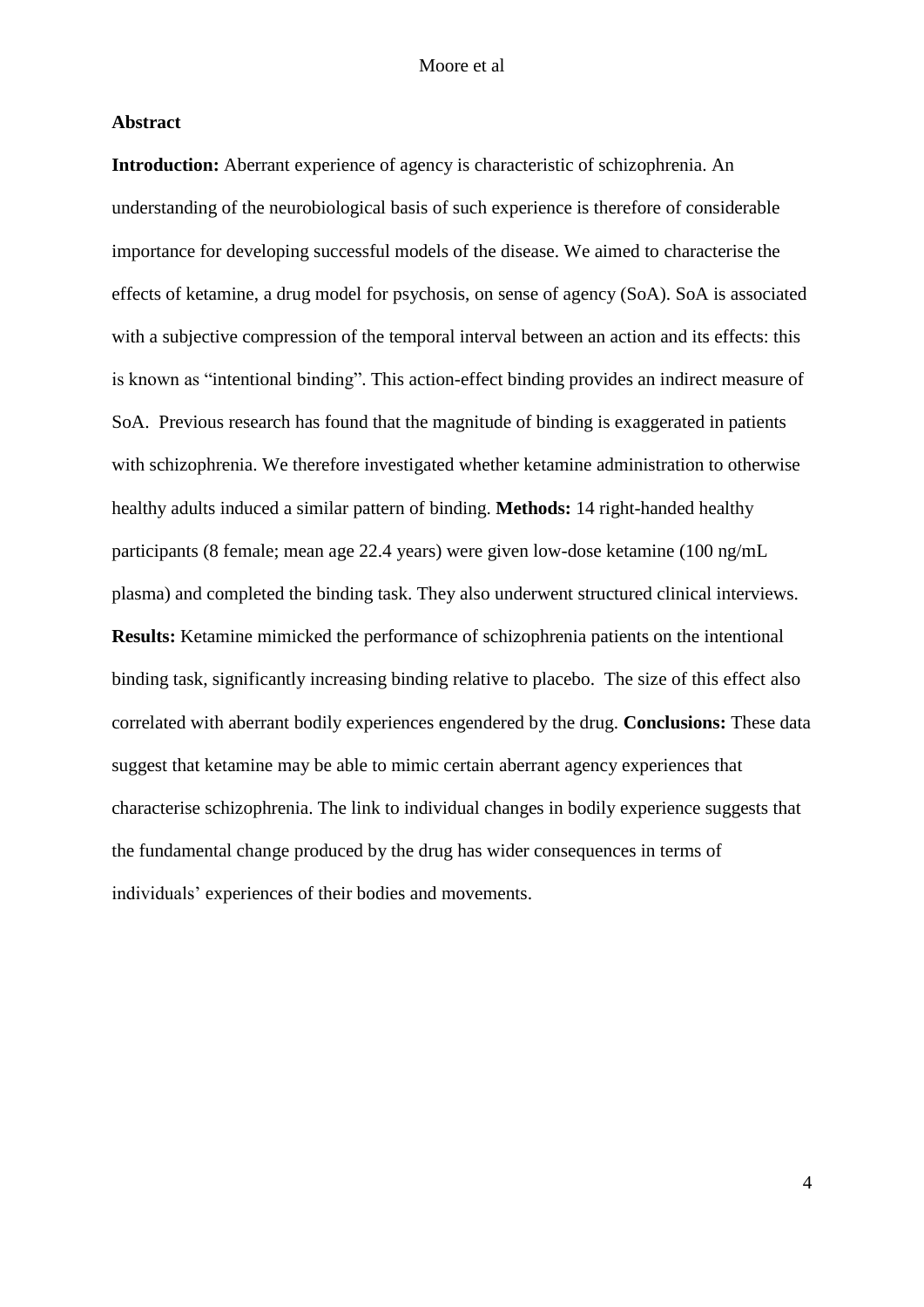## **Abstract**

**Introduction:** Aberrant experience of agency is characteristic of schizophrenia. An understanding of the neurobiological basis of such experience is therefore of considerable importance for developing successful models of the disease. We aimed to characterise the effects of ketamine, a drug model for psychosis, on sense of agency (SoA). SoA is associated with a subjective compression of the temporal interval between an action and its effects: this is known as "intentional binding". This action-effect binding provides an indirect measure of SoA. Previous research has found that the magnitude of binding is exaggerated in patients with schizophrenia. We therefore investigated whether ketamine administration to otherwise healthy adults induced a similar pattern of binding. **Methods:** 14 right-handed healthy participants (8 female; mean age 22.4 years) were given low-dose ketamine (100 ng/mL plasma) and completed the binding task. They also underwent structured clinical interviews. **Results:** Ketamine mimicked the performance of schizophrenia patients on the intentional binding task, significantly increasing binding relative to placebo. The size of this effect also correlated with aberrant bodily experiences engendered by the drug. **Conclusions:** These data suggest that ketamine may be able to mimic certain aberrant agency experiences that characterise schizophrenia. The link to individual changes in bodily experience suggests that the fundamental change produced by the drug has wider consequences in terms of individuals' experiences of their bodies and movements.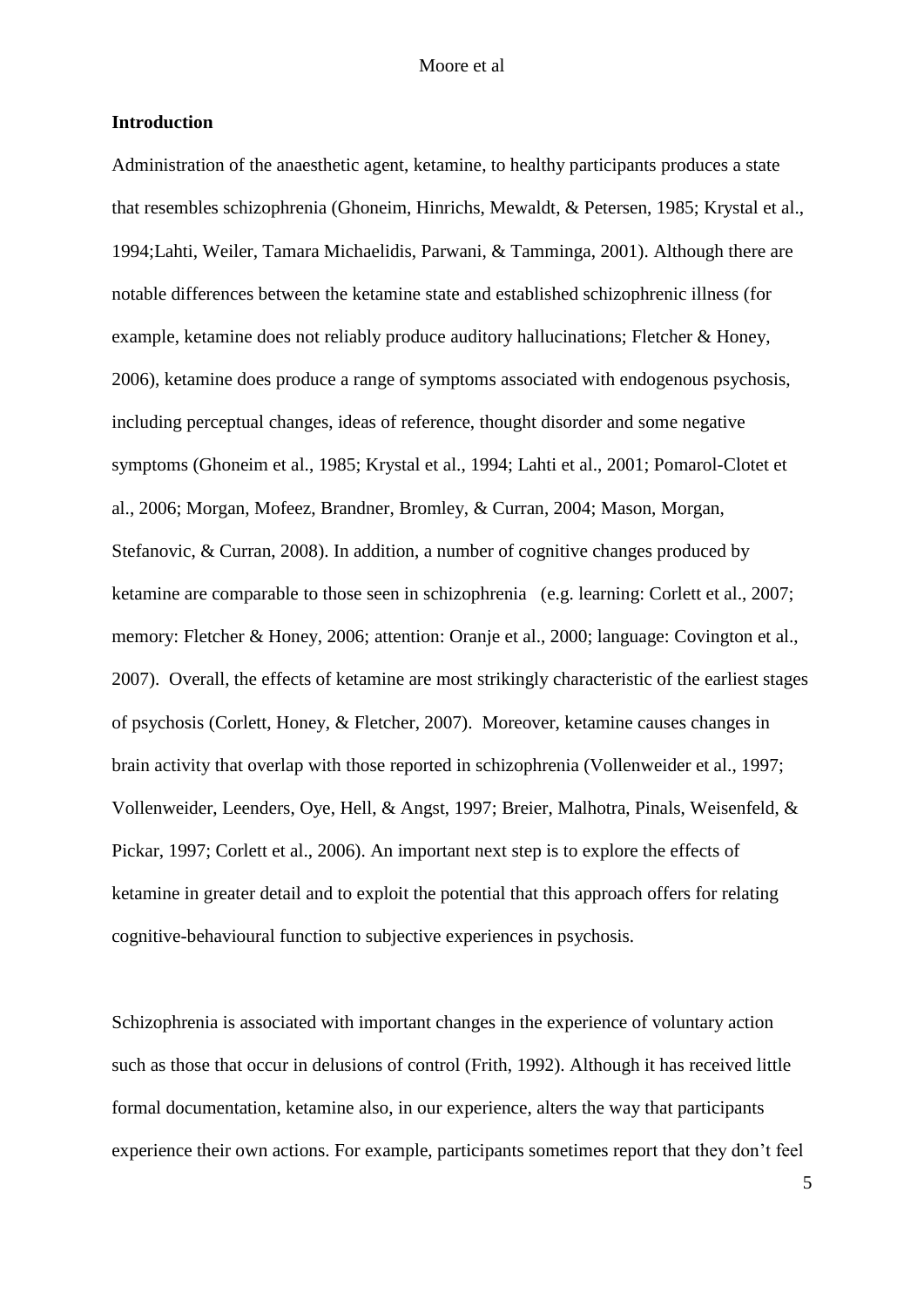## **Introduction**

Administration of the anaesthetic agent, ketamine, to healthy participants produces a state that resembles schizophrenia (Ghoneim, Hinrichs, Mewaldt, & Petersen, 1985; Krystal et al., 1994;Lahti, Weiler, Tamara Michaelidis, Parwani, & Tamminga, 2001). Although there are notable differences between the ketamine state and established schizophrenic illness (for example, ketamine does not reliably produce auditory hallucinations; Fletcher & Honey, 2006), ketamine does produce a range of symptoms associated with endogenous psychosis, including perceptual changes, ideas of reference, thought disorder and some negative symptoms (Ghoneim et al., 1985; Krystal et al., 1994; Lahti et al., 2001; Pomarol-Clotet et al., 2006; Morgan, Mofeez, Brandner, Bromley, & Curran, 2004; Mason, Morgan, Stefanovic, & Curran, 2008). In addition, a number of cognitive changes produced by ketamine are comparable to those seen in schizophrenia (e.g. learning: Corlett et al., 2007; memory: Fletcher & Honey, 2006; attention: Oranje et al., 2000; language: Covington et al., 2007). Overall, the effects of ketamine are most strikingly characteristic of the earliest stages of psychosis (Corlett, Honey, & Fletcher, 2007). Moreover, ketamine causes changes in brain activity that overlap with those reported in schizophrenia (Vollenweider et al., 1997; Vollenweider, Leenders, Oye, Hell, & Angst, 1997; Breier, Malhotra, Pinals, Weisenfeld, & Pickar, 1997; Corlett et al., 2006). An important next step is to explore the effects of ketamine in greater detail and to exploit the potential that this approach offers for relating cognitive-behavioural function to subjective experiences in psychosis.

Schizophrenia is associated with important changes in the experience of voluntary action such as those that occur in delusions of control (Frith, 1992). Although it has received little formal documentation, ketamine also, in our experience, alters the way that participants experience their own actions. For example, participants sometimes report that they don't feel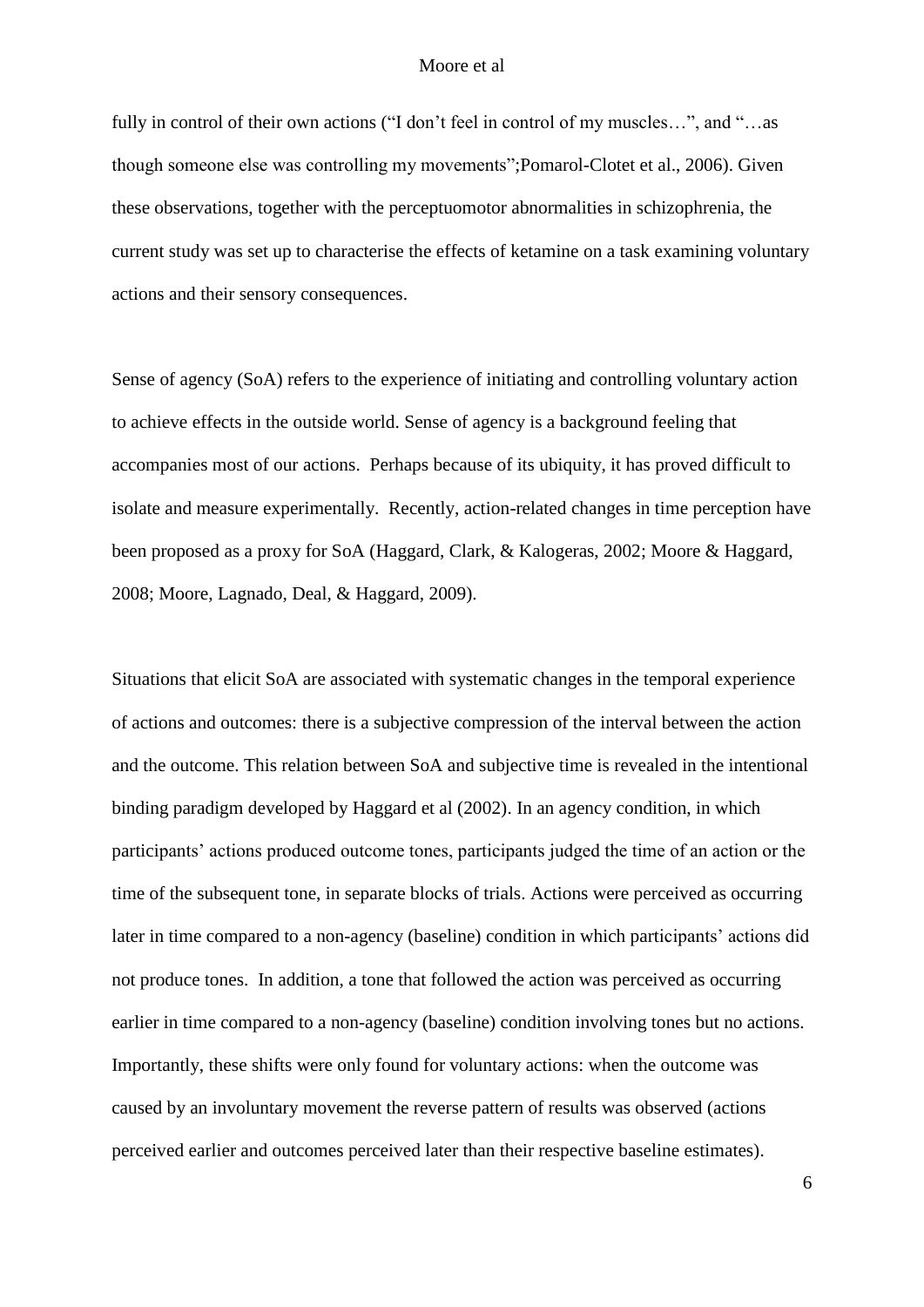fully in control of their own actions ("I don't feel in control of my muscles...", and "...as though someone else was controlling my movements";Pomarol-Clotet et al., 2006). Given these observations, together with the perceptuomotor abnormalities in schizophrenia, the current study was set up to characterise the effects of ketamine on a task examining voluntary actions and their sensory consequences.

Sense of agency (SoA) refers to the experience of initiating and controlling voluntary action to achieve effects in the outside world. Sense of agency is a background feeling that accompanies most of our actions. Perhaps because of its ubiquity, it has proved difficult to isolate and measure experimentally. Recently, action-related changes in time perception have been proposed as a proxy for SoA (Haggard, Clark, & Kalogeras, 2002; Moore & Haggard, 2008; Moore, Lagnado, Deal, & Haggard, 2009).

Situations that elicit SoA are associated with systematic changes in the temporal experience of actions and outcomes: there is a subjective compression of the interval between the action and the outcome. This relation between SoA and subjective time is revealed in the intentional binding paradigm developed by Haggard et al (2002). In an agency condition, in which participants' actions produced outcome tones, participants judged the time of an action or the time of the subsequent tone, in separate blocks of trials. Actions were perceived as occurring later in time compared to a non-agency (baseline) condition in which participants' actions did not produce tones. In addition, a tone that followed the action was perceived as occurring earlier in time compared to a non-agency (baseline) condition involving tones but no actions. Importantly, these shifts were only found for voluntary actions: when the outcome was caused by an involuntary movement the reverse pattern of results was observed (actions perceived earlier and outcomes perceived later than their respective baseline estimates).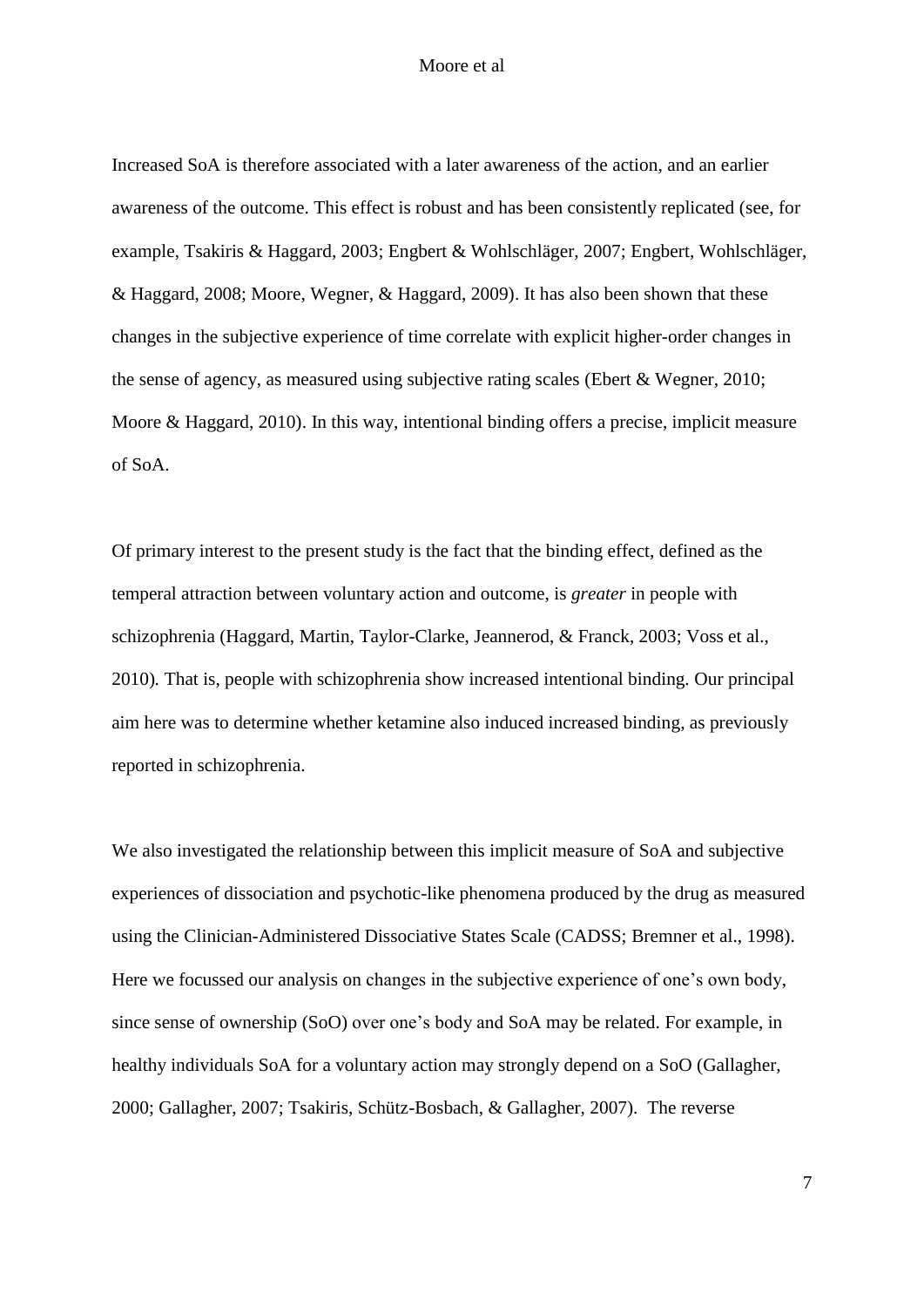Increased SoA is therefore associated with a later awareness of the action, and an earlier awareness of the outcome. This effect is robust and has been consistently replicated (see, for example, Tsakiris & Haggard, 2003; Engbert & Wohlschläger, 2007; Engbert, Wohlschläger, & Haggard, 2008; Moore, Wegner, & Haggard, 2009). It has also been shown that these changes in the subjective experience of time correlate with explicit higher-order changes in the sense of agency, as measured using subjective rating scales (Ebert & Wegner, 2010; Moore & Haggard, 2010). In this way, intentional binding offers a precise, implicit measure of SoA.

Of primary interest to the present study is the fact that the binding effect, defined as the temperal attraction between voluntary action and outcome, is *greater* in people with schizophrenia (Haggard, Martin, Taylor-Clarke, Jeannerod, & Franck, 2003; Voss et al., 2010)*.* That is, people with schizophrenia show increased intentional binding. Our principal aim here was to determine whether ketamine also induced increased binding, as previously reported in schizophrenia.

We also investigated the relationship between this implicit measure of SoA and subjective experiences of dissociation and psychotic-like phenomena produced by the drug as measured using the Clinician-Administered Dissociative States Scale (CADSS; Bremner et al., 1998). Here we focussed our analysis on changes in the subjective experience of one's own body, since sense of ownership (SoO) over one's body and SoA may be related. For example, in healthy individuals SoA for a voluntary action may strongly depend on a SoO (Gallagher, 2000; Gallagher, 2007; Tsakiris, Schütz-Bosbach, & Gallagher, 2007). The reverse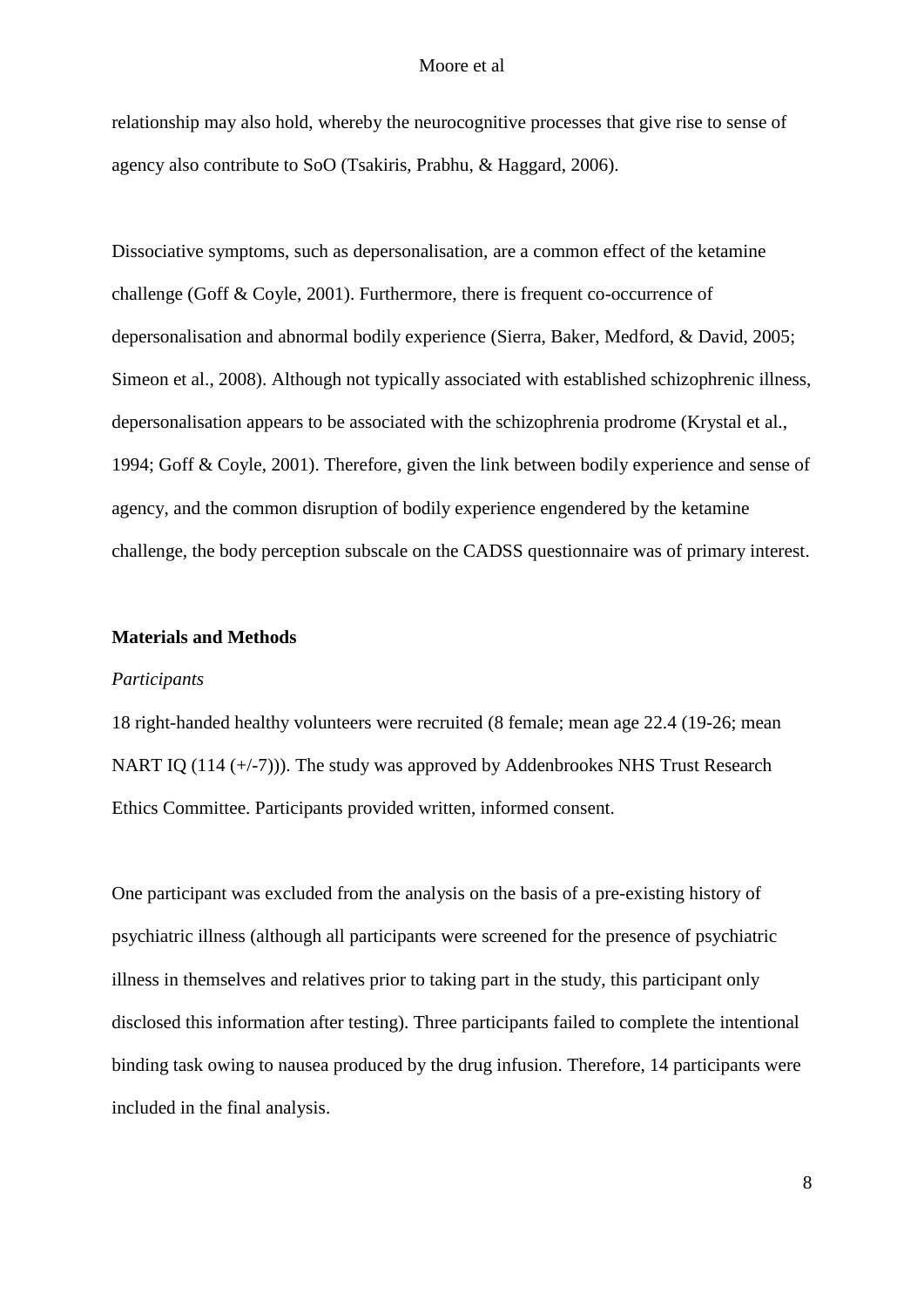relationship may also hold, whereby the neurocognitive processes that give rise to sense of agency also contribute to SoO (Tsakiris, Prabhu, & Haggard, 2006).

Dissociative symptoms, such as depersonalisation, are a common effect of the ketamine challenge (Goff & Coyle, 2001). Furthermore, there is frequent co-occurrence of depersonalisation and abnormal bodily experience (Sierra, Baker, Medford, & David, 2005; Simeon et al., 2008). Although not typically associated with established schizophrenic illness, depersonalisation appears to be associated with the schizophrenia prodrome (Krystal et al., 1994; Goff & Coyle, 2001). Therefore, given the link between bodily experience and sense of agency, and the common disruption of bodily experience engendered by the ketamine challenge, the body perception subscale on the CADSS questionnaire was of primary interest.

## **Materials and Methods**

## *Participants*

18 right-handed healthy volunteers were recruited (8 female; mean age 22.4 (19-26; mean NART IQ (114 (+/-7))). The study was approved by Addenbrookes NHS Trust Research Ethics Committee. Participants provided written, informed consent.

One participant was excluded from the analysis on the basis of a pre-existing history of psychiatric illness (although all participants were screened for the presence of psychiatric illness in themselves and relatives prior to taking part in the study, this participant only disclosed this information after testing). Three participants failed to complete the intentional binding task owing to nausea produced by the drug infusion. Therefore, 14 participants were included in the final analysis.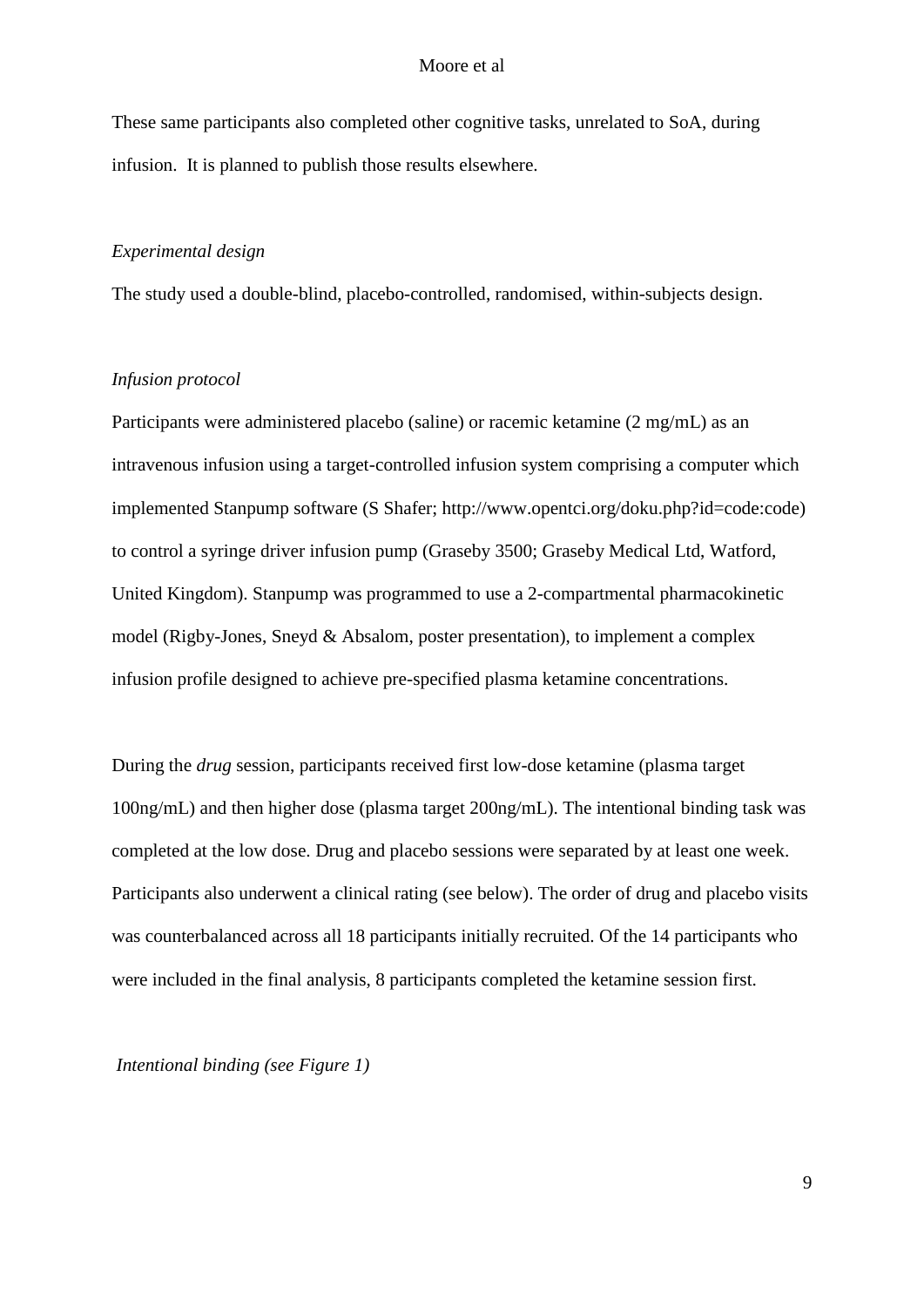These same participants also completed other cognitive tasks, unrelated to SoA, during infusion. It is planned to publish those results elsewhere.

## *Experimental design*

The study used a double-blind, placebo-controlled, randomised, within-subjects design.

## *Infusion protocol*

Participants were administered placebo (saline) or racemic ketamine (2 mg/mL) as an intravenous infusion using a target-controlled infusion system comprising a computer which implemented Stanpump software (S Shafer; http://www.opentci.org/doku.php?id=code:code) to control a syringe driver infusion pump (Graseby 3500; Graseby Medical Ltd, Watford, United Kingdom). Stanpump was programmed to use a 2-compartmental pharmacokinetic model (Rigby-Jones, Sneyd & Absalom, poster presentation), to implement a complex infusion profile designed to achieve pre-specified plasma ketamine concentrations.

During the *drug* session, participants received first low-dose ketamine (plasma target 100ng/mL) and then higher dose (plasma target 200ng/mL). The intentional binding task was completed at the low dose. Drug and placebo sessions were separated by at least one week. Participants also underwent a clinical rating (see below). The order of drug and placebo visits was counterbalanced across all 18 participants initially recruited. Of the 14 participants who were included in the final analysis, 8 participants completed the ketamine session first.

*Intentional binding (see Figure 1)*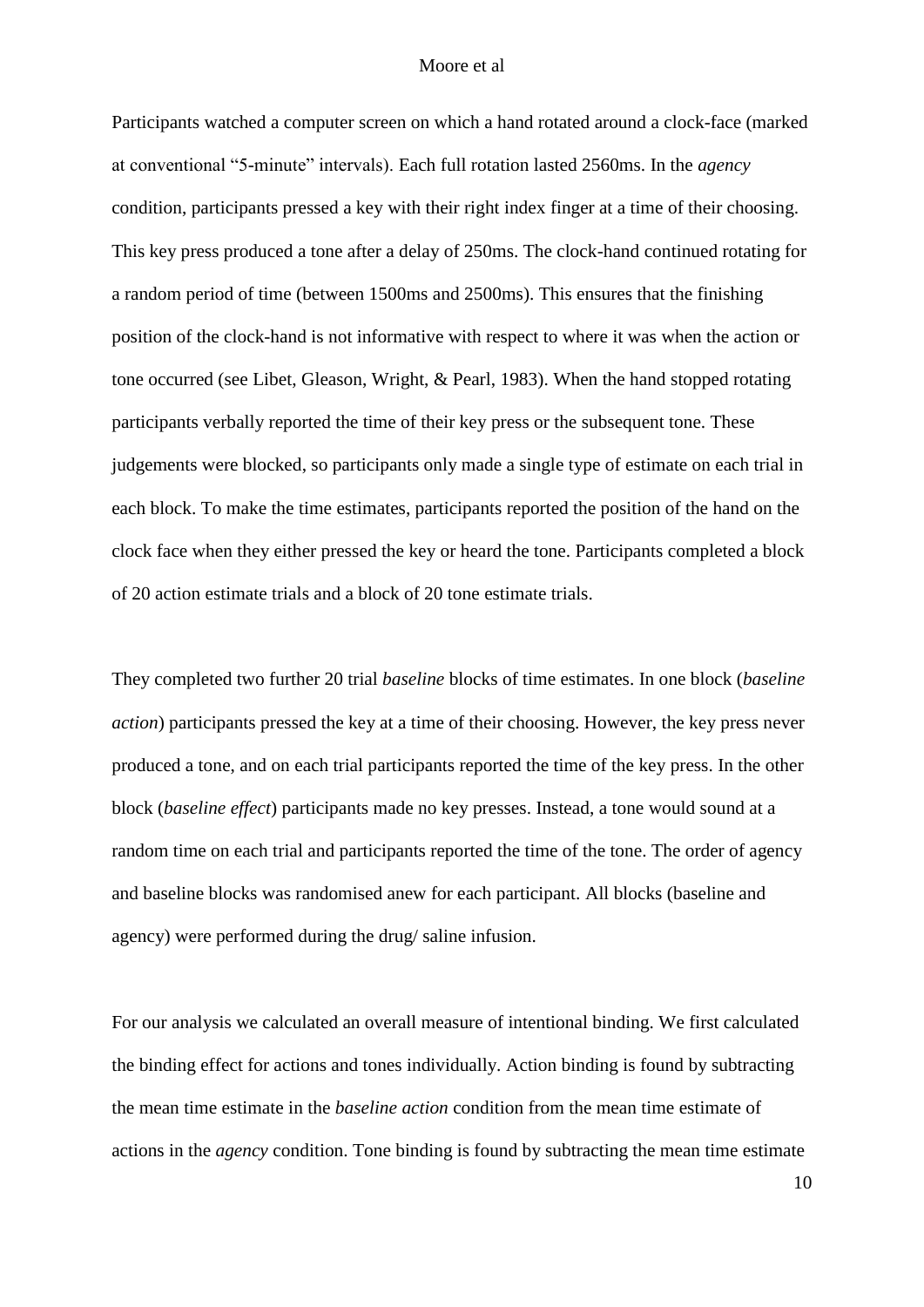Participants watched a computer screen on which a hand rotated around a clock-face (marked at conventional "5-minute" intervals). Each full rotation lasted 2560ms. In the *agency* condition, participants pressed a key with their right index finger at a time of their choosing. This key press produced a tone after a delay of 250ms. The clock-hand continued rotating for a random period of time (between 1500ms and 2500ms). This ensures that the finishing position of the clock-hand is not informative with respect to where it was when the action or tone occurred (see Libet, Gleason, Wright, & Pearl, 1983). When the hand stopped rotating participants verbally reported the time of their key press or the subsequent tone. These judgements were blocked, so participants only made a single type of estimate on each trial in each block. To make the time estimates, participants reported the position of the hand on the clock face when they either pressed the key or heard the tone. Participants completed a block of 20 action estimate trials and a block of 20 tone estimate trials.

They completed two further 20 trial *baseline* blocks of time estimates. In one block (*baseline action*) participants pressed the key at a time of their choosing. However, the key press never produced a tone, and on each trial participants reported the time of the key press. In the other block (*baseline effect*) participants made no key presses. Instead, a tone would sound at a random time on each trial and participants reported the time of the tone. The order of agency and baseline blocks was randomised anew for each participant. All blocks (baseline and agency) were performed during the drug/ saline infusion.

For our analysis we calculated an overall measure of intentional binding. We first calculated the binding effect for actions and tones individually. Action binding is found by subtracting the mean time estimate in the *baseline action* condition from the mean time estimate of actions in the *agency* condition. Tone binding is found by subtracting the mean time estimate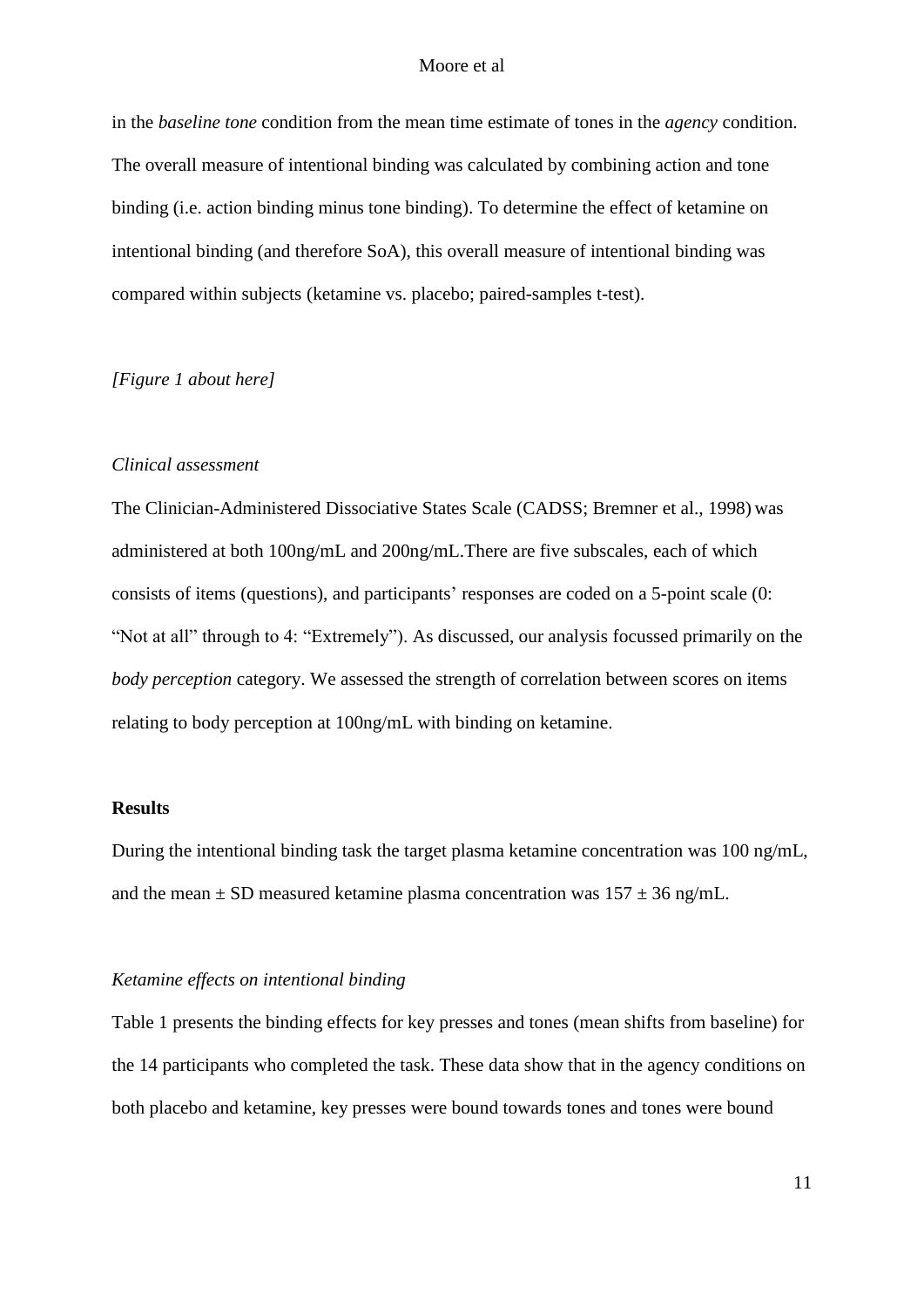in the *baseline tone* condition from the mean time estimate of tones in the *agency* condition. The overall measure of intentional binding was calculated by combining action and tone binding (i.e. action binding minus tone binding). To determine the effect of ketamine on intentional binding (and therefore SoA), this overall measure of intentional binding was compared within subjects (ketamine vs. placebo; paired-samples t-test).

## *[Figure 1 about here]*

## *Clinical assessment*

The Clinician-Administered Dissociative States Scale (CADSS; Bremner et al., 1998) was administered at both 100ng/mL and 200ng/mL.There are five subscales, each of which consists of items (questions), and participants' responses are coded on a 5-point scale (0: "Not at all" through to 4: "Extremely"). As discussed, our analysis focussed primarily on the *body perception* category. We assessed the strength of correlation between scores on items relating to body perception at 100ng/mL with binding on ketamine.

## **Results**

During the intentional binding task the target plasma ketamine concentration was 100 ng/mL, and the mean  $\pm$  SD measured ketamine plasma concentration was  $157 \pm 36$  ng/mL.

## *Ketamine effects on intentional binding*

Table 1 presents the binding effects for key presses and tones (mean shifts from baseline) for the 14 participants who completed the task. These data show that in the agency conditions on both placebo and ketamine, key presses were bound towards tones and tones were bound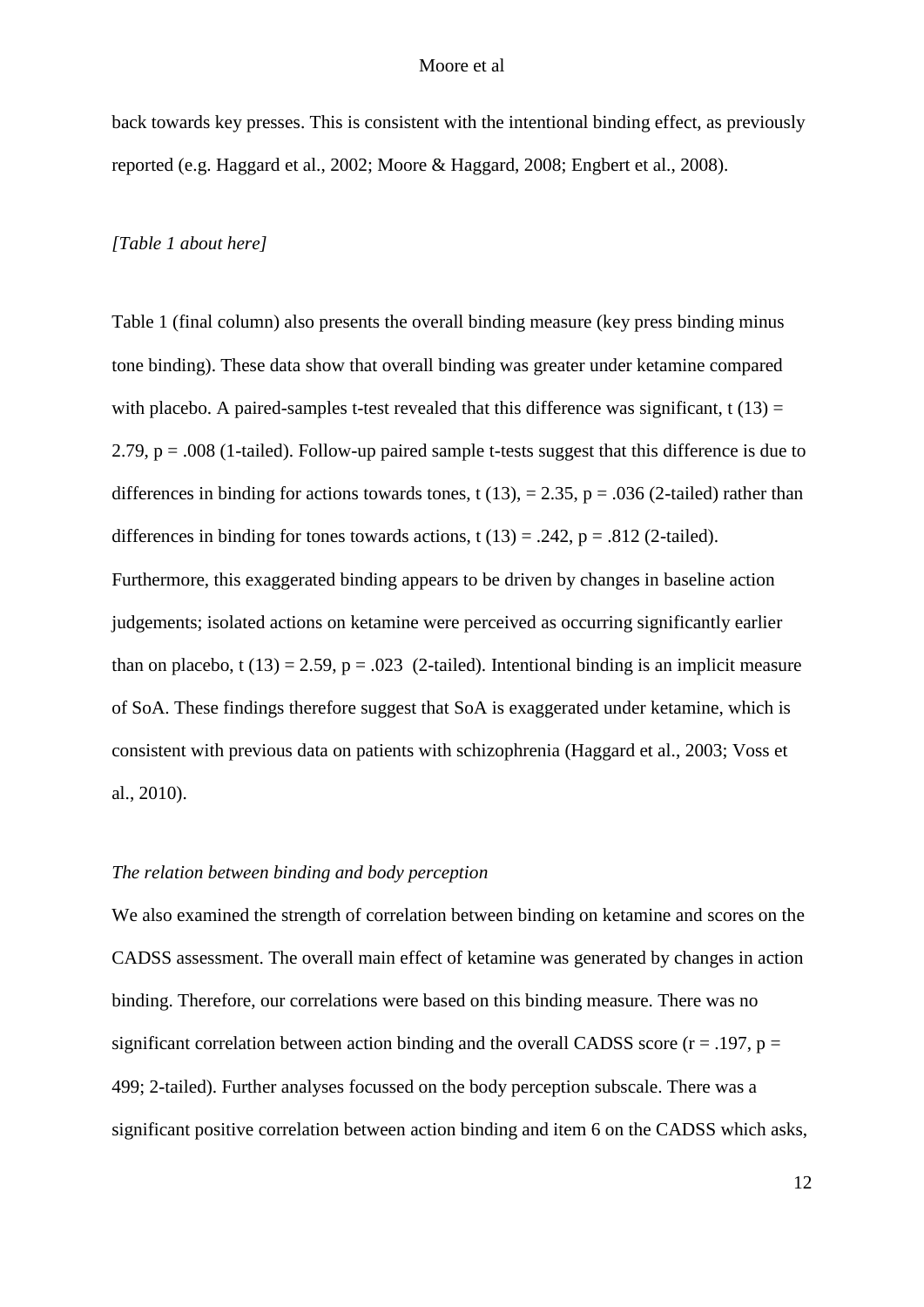back towards key presses. This is consistent with the intentional binding effect, as previously reported (e.g. Haggard et al., 2002; Moore & Haggard, 2008; Engbert et al., 2008).

#### *[Table 1 about here]*

Table 1 (final column) also presents the overall binding measure (key press binding minus tone binding). These data show that overall binding was greater under ketamine compared with placebo. A paired-samples t-test revealed that this difference was significant,  $t(13) =$ 2.79, p = .008 (1-tailed). Follow-up paired sample t-tests suggest that this difference is due to differences in binding for actions towards tones, t (13), = 2.35, p = .036 (2-tailed) rather than differences in binding for tones towards actions,  $t(13) = .242$ ,  $p = .812$  (2-tailed). Furthermore, this exaggerated binding appears to be driven by changes in baseline action judgements; isolated actions on ketamine were perceived as occurring significantly earlier than on placebo, t (13) = 2.59, p = .023 (2-tailed). Intentional binding is an implicit measure of SoA. These findings therefore suggest that SoA is exaggerated under ketamine, which is consistent with previous data on patients with schizophrenia (Haggard et al., 2003; Voss et al., 2010).

## *The relation between binding and body perception*

We also examined the strength of correlation between binding on ketamine and scores on the CADSS assessment. The overall main effect of ketamine was generated by changes in action binding. Therefore, our correlations were based on this binding measure. There was no significant correlation between action binding and the overall CADSS score ( $r = .197$ ,  $p =$ 499; 2-tailed). Further analyses focussed on the body perception subscale. There was a significant positive correlation between action binding and item 6 on the CADSS which asks,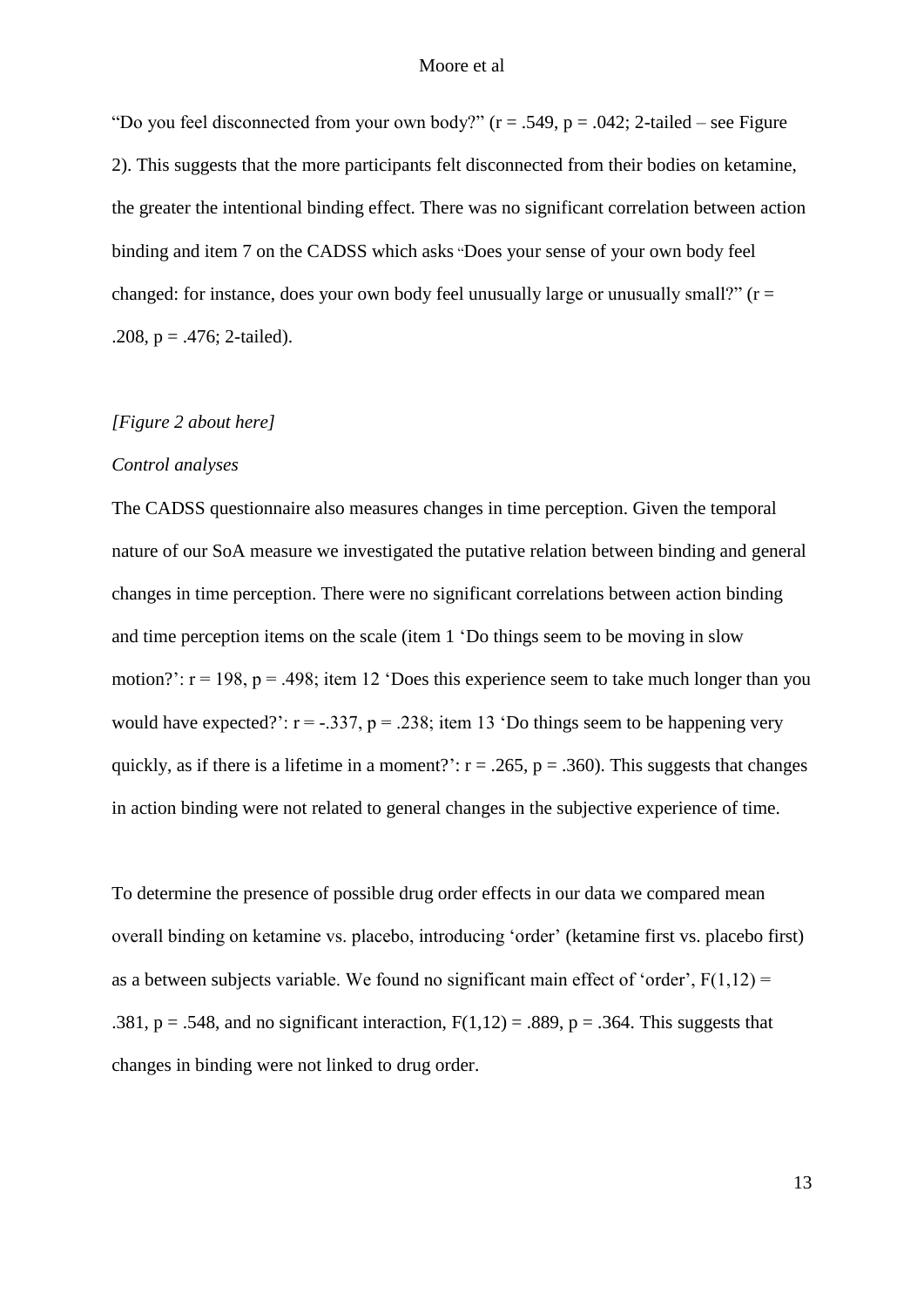"Do you feel disconnected from your own body?"  $(r = .549, p = .042; 2$ -tailed – see Figure 2). This suggests that the more participants felt disconnected from their bodies on ketamine, the greater the intentional binding effect. There was no significant correlation between action binding and item 7 on the CADSS which asks "Does your sense of your own body feel changed: for instance, does your own body feel unusually large or unusually small?"  $(r =$ .208,  $p = .476$ ; 2-tailed).

## *[Figure 2 about here]*

## *Control analyses*

The CADSS questionnaire also measures changes in time perception. Given the temporal nature of our SoA measure we investigated the putative relation between binding and general changes in time perception. There were no significant correlations between action binding and time perception items on the scale (item 1 'Do things seem to be moving in slow motion?':  $r = 198$ ,  $p = .498$ ; item 12 'Does this experience seem to take much longer than you would have expected?':  $r = -0.337$ ,  $p = 0.238$ ; item 13 'Do things seem to be happening very quickly, as if there is a lifetime in a moment?':  $r = .265$ ,  $p = .360$ ). This suggests that changes in action binding were not related to general changes in the subjective experience of time.

To determine the presence of possible drug order effects in our data we compared mean overall binding on ketamine vs. placebo, introducing 'order' (ketamine first vs. placebo first) as a between subjects variable. We found no significant main effect of 'order',  $F(1,12)$  = .381,  $p = .548$ , and no significant interaction,  $F(1,12) = .889$ ,  $p = .364$ . This suggests that changes in binding were not linked to drug order.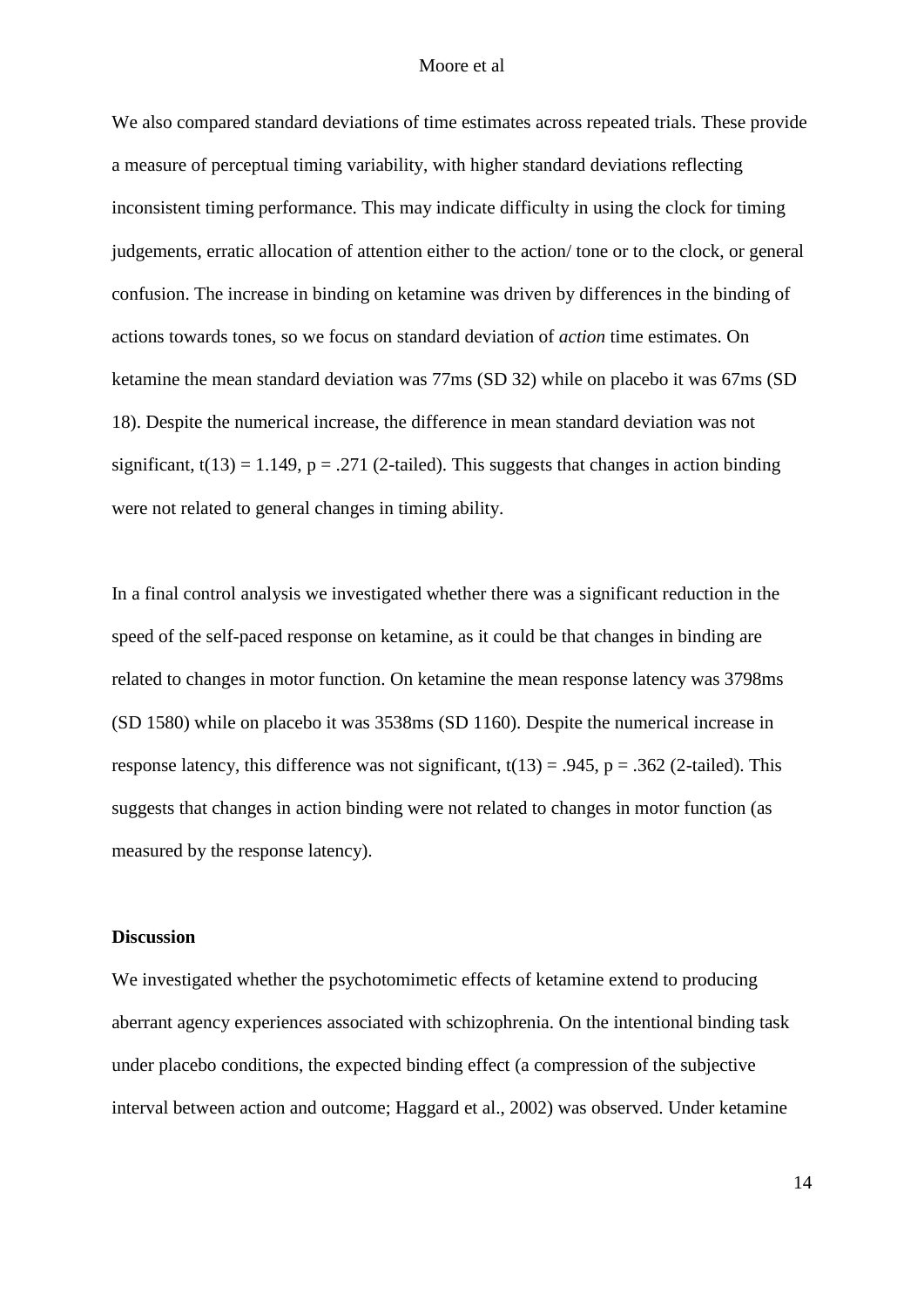We also compared standard deviations of time estimates across repeated trials. These provide a measure of perceptual timing variability, with higher standard deviations reflecting inconsistent timing performance. This may indicate difficulty in using the clock for timing judgements, erratic allocation of attention either to the action/ tone or to the clock, or general confusion. The increase in binding on ketamine was driven by differences in the binding of actions towards tones, so we focus on standard deviation of *action* time estimates. On ketamine the mean standard deviation was 77ms (SD 32) while on placebo it was 67ms (SD 18). Despite the numerical increase, the difference in mean standard deviation was not significant,  $t(13) = 1.149$ ,  $p = .271$  (2-tailed). This suggests that changes in action binding were not related to general changes in timing ability.

In a final control analysis we investigated whether there was a significant reduction in the speed of the self-paced response on ketamine, as it could be that changes in binding are related to changes in motor function. On ketamine the mean response latency was 3798ms (SD 1580) while on placebo it was 3538ms (SD 1160). Despite the numerical increase in response latency, this difference was not significant,  $t(13) = .945$ ,  $p = .362$  (2-tailed). This suggests that changes in action binding were not related to changes in motor function (as measured by the response latency).

## **Discussion**

We investigated whether the psychotomimetic effects of ketamine extend to producing aberrant agency experiences associated with schizophrenia. On the intentional binding task under placebo conditions, the expected binding effect (a compression of the subjective interval between action and outcome; Haggard et al., 2002) was observed. Under ketamine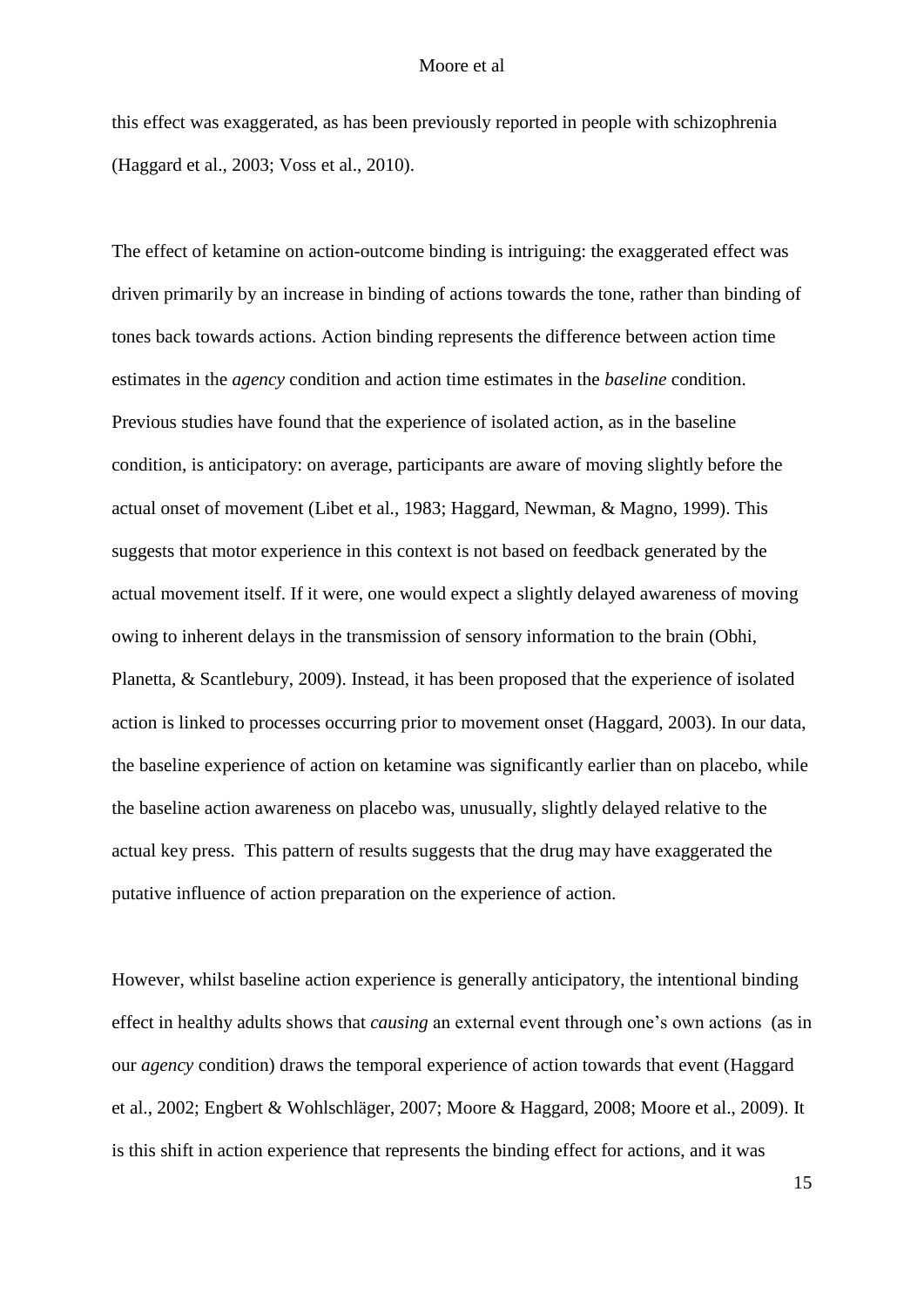this effect was exaggerated, as has been previously reported in people with schizophrenia (Haggard et al., 2003; Voss et al., 2010).

The effect of ketamine on action-outcome binding is intriguing: the exaggerated effect was driven primarily by an increase in binding of actions towards the tone, rather than binding of tones back towards actions. Action binding represents the difference between action time estimates in the *agency* condition and action time estimates in the *baseline* condition. Previous studies have found that the experience of isolated action, as in the baseline condition, is anticipatory: on average, participants are aware of moving slightly before the actual onset of movement (Libet et al., 1983; Haggard, Newman, & Magno, 1999). This suggests that motor experience in this context is not based on feedback generated by the actual movement itself. If it were, one would expect a slightly delayed awareness of moving owing to inherent delays in the transmission of sensory information to the brain (Obhi, Planetta, & Scantlebury, 2009). Instead, it has been proposed that the experience of isolated action is linked to processes occurring prior to movement onset (Haggard, 2003). In our data, the baseline experience of action on ketamine was significantly earlier than on placebo, while the baseline action awareness on placebo was, unusually, slightly delayed relative to the actual key press. This pattern of results suggests that the drug may have exaggerated the putative influence of action preparation on the experience of action.

However, whilst baseline action experience is generally anticipatory, the intentional binding effect in healthy adults shows that *causing* an external event through one's own actions (as in our *agency* condition) draws the temporal experience of action towards that event (Haggard et al., 2002; Engbert & Wohlschläger, 2007; Moore & Haggard, 2008; Moore et al., 2009). It is this shift in action experience that represents the binding effect for actions, and it was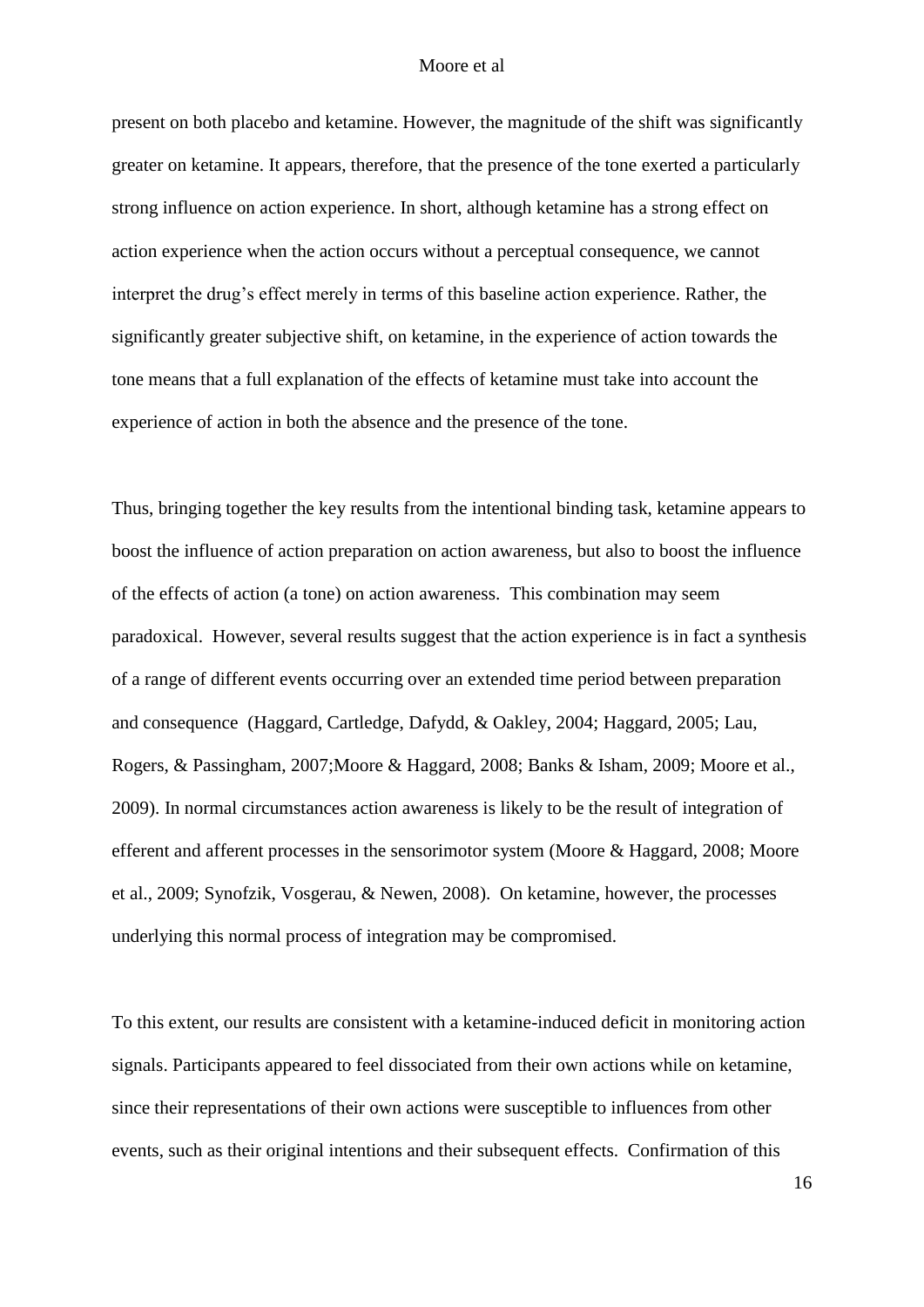present on both placebo and ketamine. However, the magnitude of the shift was significantly greater on ketamine. It appears, therefore, that the presence of the tone exerted a particularly strong influence on action experience. In short, although ketamine has a strong effect on action experience when the action occurs without a perceptual consequence, we cannot interpret the drug's effect merely in terms of this baseline action experience. Rather, the significantly greater subjective shift, on ketamine, in the experience of action towards the tone means that a full explanation of the effects of ketamine must take into account the experience of action in both the absence and the presence of the tone.

Thus, bringing together the key results from the intentional binding task, ketamine appears to boost the influence of action preparation on action awareness, but also to boost the influence of the effects of action (a tone) on action awareness. This combination may seem paradoxical. However, several results suggest that the action experience is in fact a synthesis of a range of different events occurring over an extended time period between preparation and consequence (Haggard, Cartledge, Dafydd, & Oakley, 2004; Haggard, 2005; Lau, Rogers, & Passingham, 2007;Moore & Haggard, 2008; Banks & Isham, 2009; Moore et al., 2009). In normal circumstances action awareness is likely to be the result of integration of efferent and afferent processes in the sensorimotor system (Moore & Haggard, 2008; Moore et al., 2009; Synofzik, Vosgerau, & Newen, 2008). On ketamine, however, the processes underlying this normal process of integration may be compromised.

To this extent, our results are consistent with a ketamine-induced deficit in monitoring action signals. Participants appeared to feel dissociated from their own actions while on ketamine, since their representations of their own actions were susceptible to influences from other events, such as their original intentions and their subsequent effects. Confirmation of this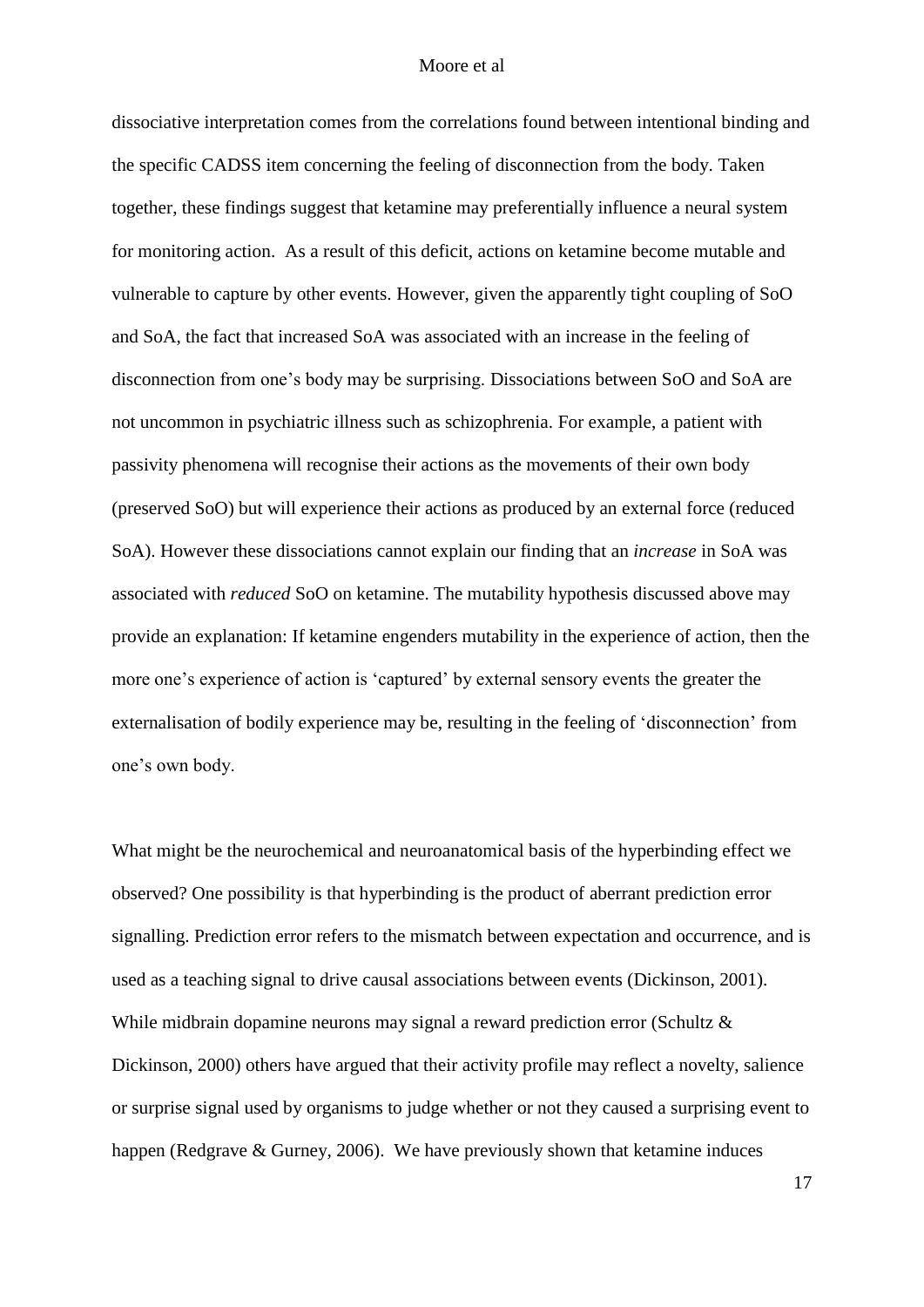dissociative interpretation comes from the correlations found between intentional binding and the specific CADSS item concerning the feeling of disconnection from the body. Taken together, these findings suggest that ketamine may preferentially influence a neural system for monitoring action. As a result of this deficit, actions on ketamine become mutable and vulnerable to capture by other events. However, given the apparently tight coupling of SoO and SoA, the fact that increased SoA was associated with an increase in the feeling of disconnection from one's body may be surprising. Dissociations between SoO and SoA are not uncommon in psychiatric illness such as schizophrenia. For example, a patient with passivity phenomena will recognise their actions as the movements of their own body (preserved SoO) but will experience their actions as produced by an external force (reduced SoA). However these dissociations cannot explain our finding that an *increase* in SoA was associated with *reduced* SoO on ketamine. The mutability hypothesis discussed above may provide an explanation: If ketamine engenders mutability in the experience of action, then the more one's experience of action is 'captured' by external sensory events the greater the externalisation of bodily experience may be, resulting in the feeling of 'disconnection' from one's own body.

What might be the neurochemical and neuroanatomical basis of the hyperbinding effect we observed? One possibility is that hyperbinding is the product of aberrant prediction error signalling. Prediction error refers to the mismatch between expectation and occurrence, and is used as a teaching signal to drive causal associations between events (Dickinson, 2001). While midbrain dopamine neurons may signal a reward prediction error (Schultz & Dickinson, 2000) others have argued that their activity profile may reflect a novelty, salience or surprise signal used by organisms to judge whether or not they caused a surprising event to happen (Redgrave & Gurney, 2006). We have previously shown that ketamine induces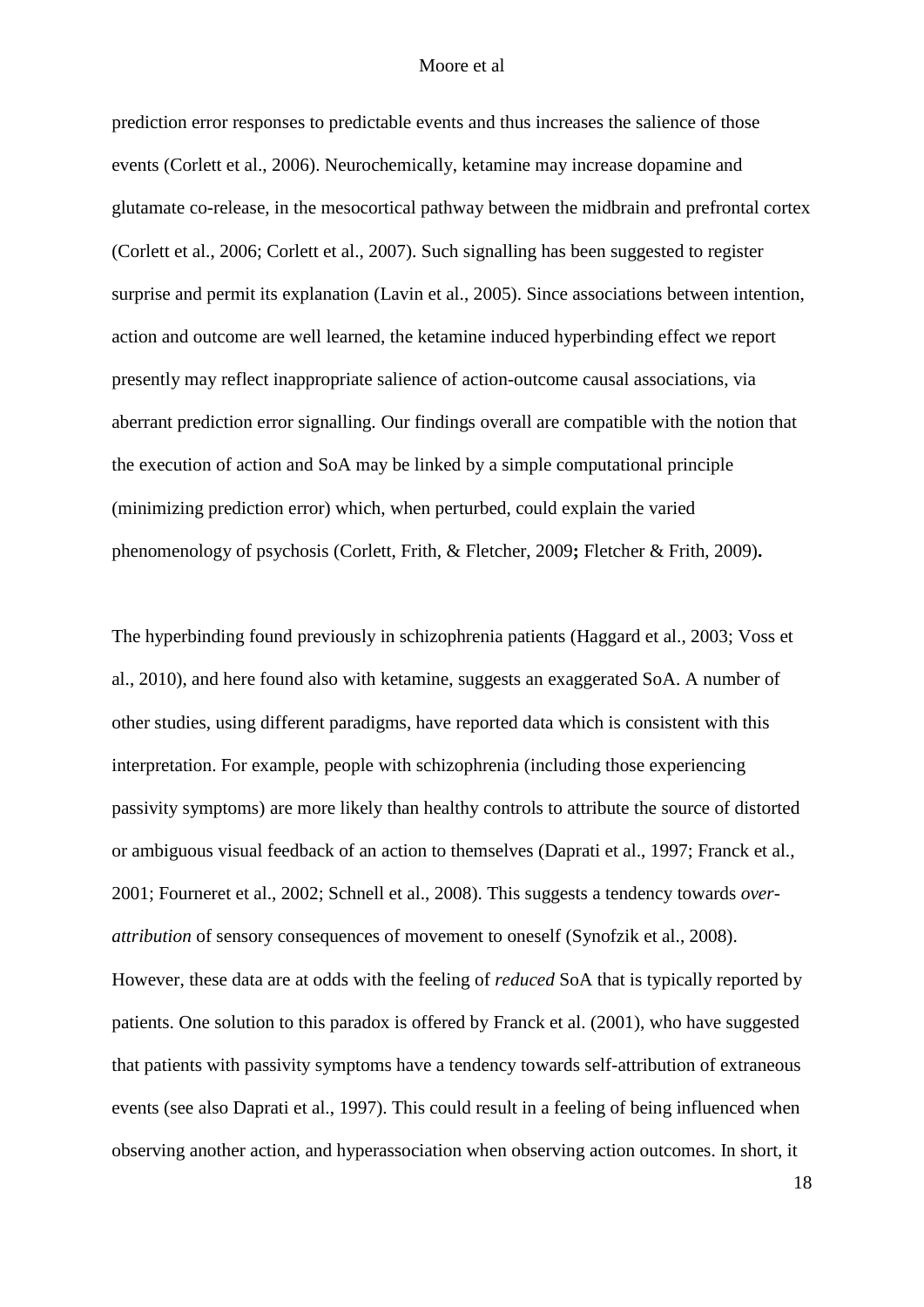prediction error responses to predictable events and thus increases the salience of those events (Corlett et al., 2006). Neurochemically, ketamine may increase dopamine and glutamate co-release, in the mesocortical pathway between the midbrain and prefrontal cortex (Corlett et al., 2006; Corlett et al., 2007). Such signalling has been suggested to register surprise and permit its explanation (Lavin et al., 2005). Since associations between intention, action and outcome are well learned, the ketamine induced hyperbinding effect we report presently may reflect inappropriate salience of action-outcome causal associations, via aberrant prediction error signalling. Our findings overall are compatible with the notion that the execution of action and SoA may be linked by a simple computational principle (minimizing prediction error) which, when perturbed, could explain the varied phenomenology of psychosis (Corlett, Frith, & Fletcher, 2009**;** Fletcher & Frith, 2009)**.**

The hyperbinding found previously in schizophrenia patients (Haggard et al., 2003; Voss et al., 2010), and here found also with ketamine, suggests an exaggerated SoA. A number of other studies, using different paradigms, have reported data which is consistent with this interpretation. For example, people with schizophrenia (including those experiencing passivity symptoms) are more likely than healthy controls to attribute the source of distorted or ambiguous visual feedback of an action to themselves (Daprati et al., 1997; Franck et al., 2001; Fourneret et al., 2002; Schnell et al., 2008). This suggests a tendency towards *overattribution* of sensory consequences of movement to oneself (Synofzik et al., 2008). However, these data are at odds with the feeling of *reduced* SoA that is typically reported by patients. One solution to this paradox is offered by Franck et al. (2001), who have suggested that patients with passivity symptoms have a tendency towards self-attribution of extraneous events (see also Daprati et al., 1997). This could result in a feeling of being influenced when observing another action, and hyperassociation when observing action outcomes. In short, it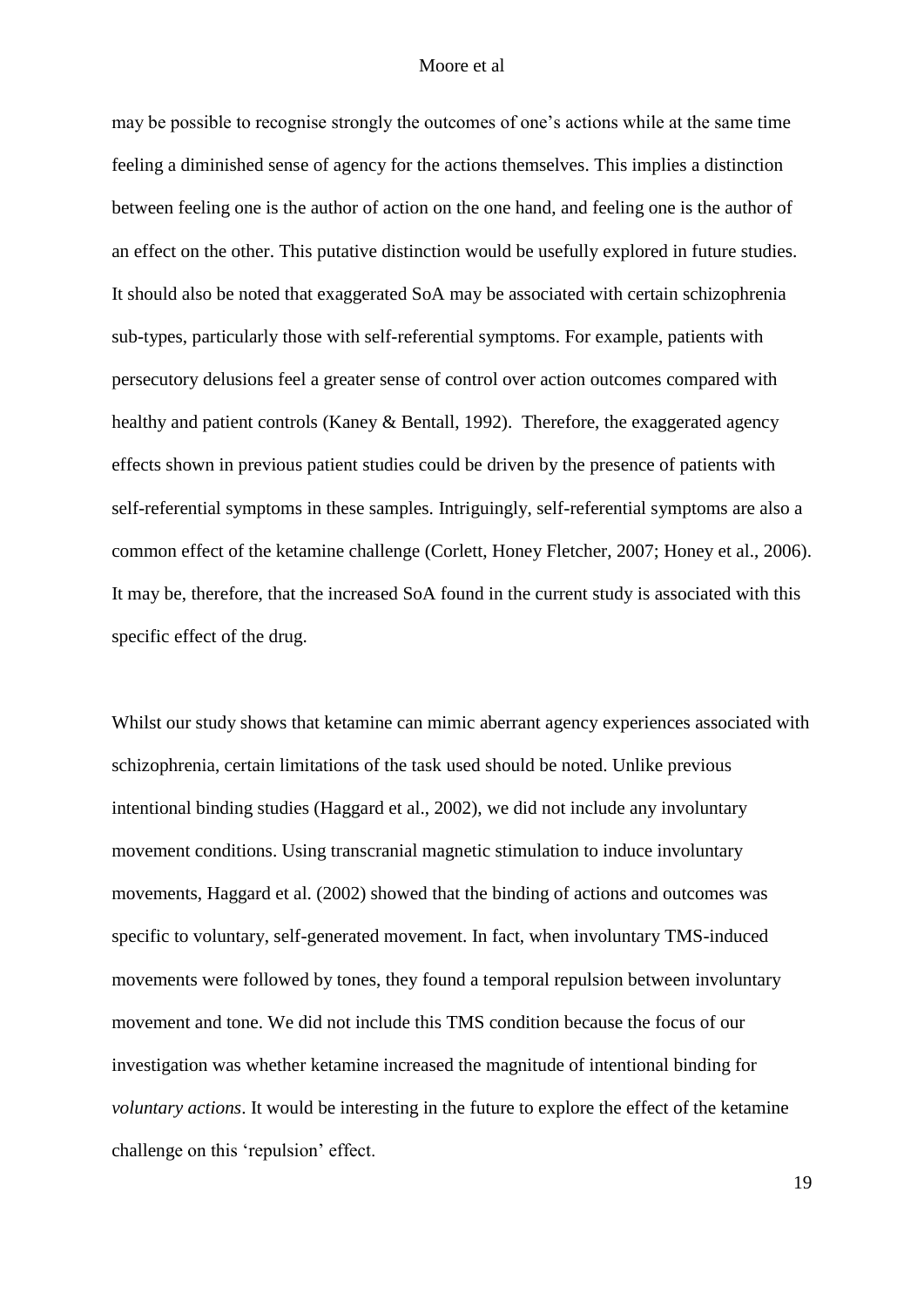may be possible to recognise strongly the outcomes of one's actions while at the same time feeling a diminished sense of agency for the actions themselves. This implies a distinction between feeling one is the author of action on the one hand, and feeling one is the author of an effect on the other. This putative distinction would be usefully explored in future studies. It should also be noted that exaggerated SoA may be associated with certain schizophrenia sub-types, particularly those with self-referential symptoms. For example, patients with persecutory delusions feel a greater sense of control over action outcomes compared with healthy and patient controls (Kaney & Bentall, 1992). Therefore, the exaggerated agency effects shown in previous patient studies could be driven by the presence of patients with self-referential symptoms in these samples. Intriguingly, self-referential symptoms are also a common effect of the ketamine challenge (Corlett, Honey Fletcher, 2007; Honey et al., 2006). It may be, therefore, that the increased SoA found in the current study is associated with this specific effect of the drug.

Whilst our study shows that ketamine can mimic aberrant agency experiences associated with schizophrenia, certain limitations of the task used should be noted. Unlike previous intentional binding studies (Haggard et al., 2002), we did not include any involuntary movement conditions. Using transcranial magnetic stimulation to induce involuntary movements, Haggard et al. (2002) showed that the binding of actions and outcomes was specific to voluntary, self-generated movement. In fact, when involuntary TMS-induced movements were followed by tones, they found a temporal repulsion between involuntary movement and tone. We did not include this TMS condition because the focus of our investigation was whether ketamine increased the magnitude of intentional binding for *voluntary actions*. It would be interesting in the future to explore the effect of the ketamine challenge on this 'repulsion' effect.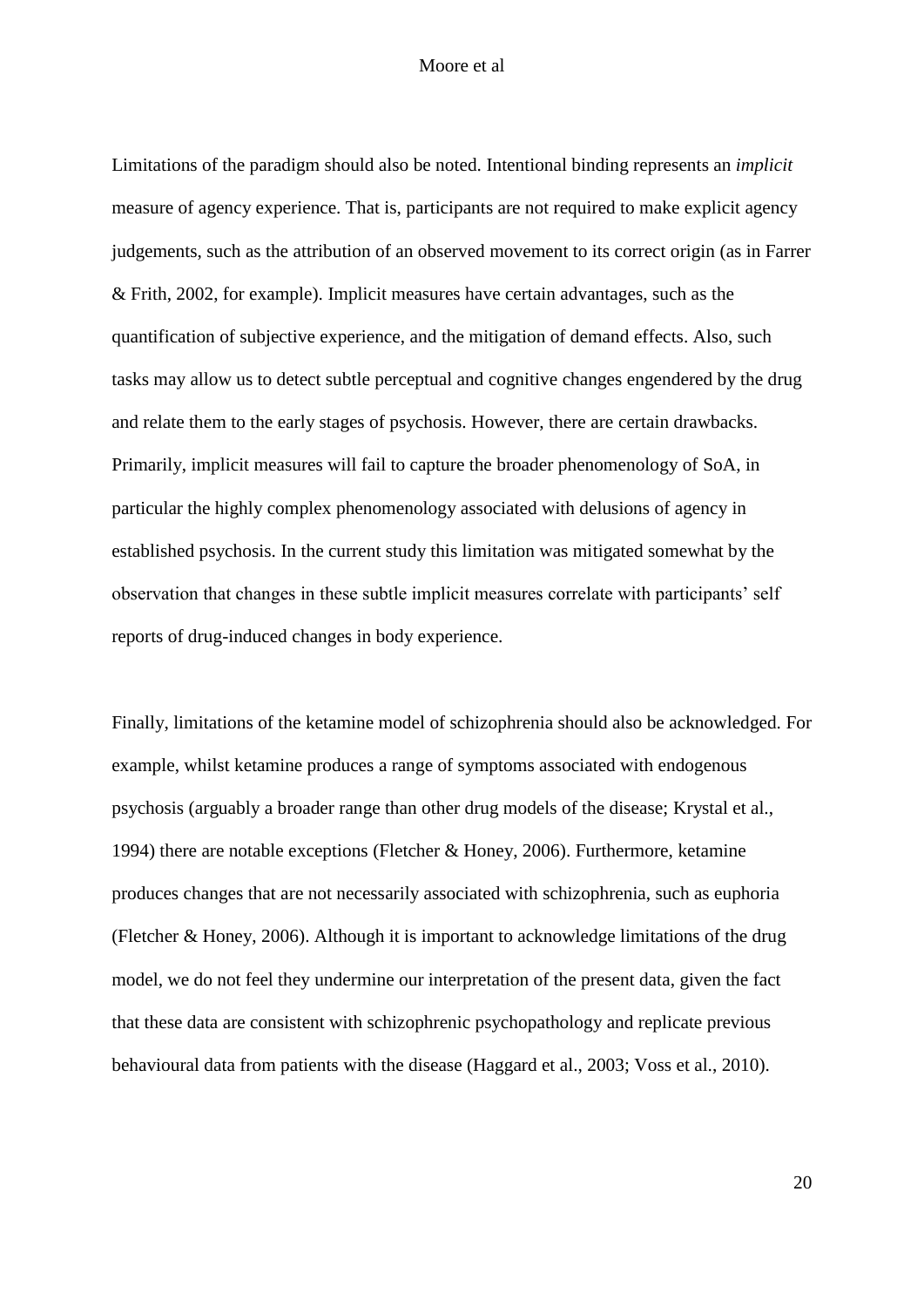Limitations of the paradigm should also be noted. Intentional binding represents an *implicit* measure of agency experience. That is, participants are not required to make explicit agency judgements, such as the attribution of an observed movement to its correct origin (as in Farrer & Frith, 2002, for example). Implicit measures have certain advantages, such as the quantification of subjective experience, and the mitigation of demand effects. Also, such tasks may allow us to detect subtle perceptual and cognitive changes engendered by the drug and relate them to the early stages of psychosis. However, there are certain drawbacks. Primarily, implicit measures will fail to capture the broader phenomenology of SoA, in particular the highly complex phenomenology associated with delusions of agency in established psychosis. In the current study this limitation was mitigated somewhat by the observation that changes in these subtle implicit measures correlate with participants' self reports of drug-induced changes in body experience.

Finally, limitations of the ketamine model of schizophrenia should also be acknowledged. For example, whilst ketamine produces a range of symptoms associated with endogenous psychosis (arguably a broader range than other drug models of the disease; Krystal et al., 1994) there are notable exceptions (Fletcher & Honey, 2006). Furthermore, ketamine produces changes that are not necessarily associated with schizophrenia, such as euphoria (Fletcher & Honey, 2006). Although it is important to acknowledge limitations of the drug model, we do not feel they undermine our interpretation of the present data, given the fact that these data are consistent with schizophrenic psychopathology and replicate previous behavioural data from patients with the disease (Haggard et al., 2003; Voss et al., 2010).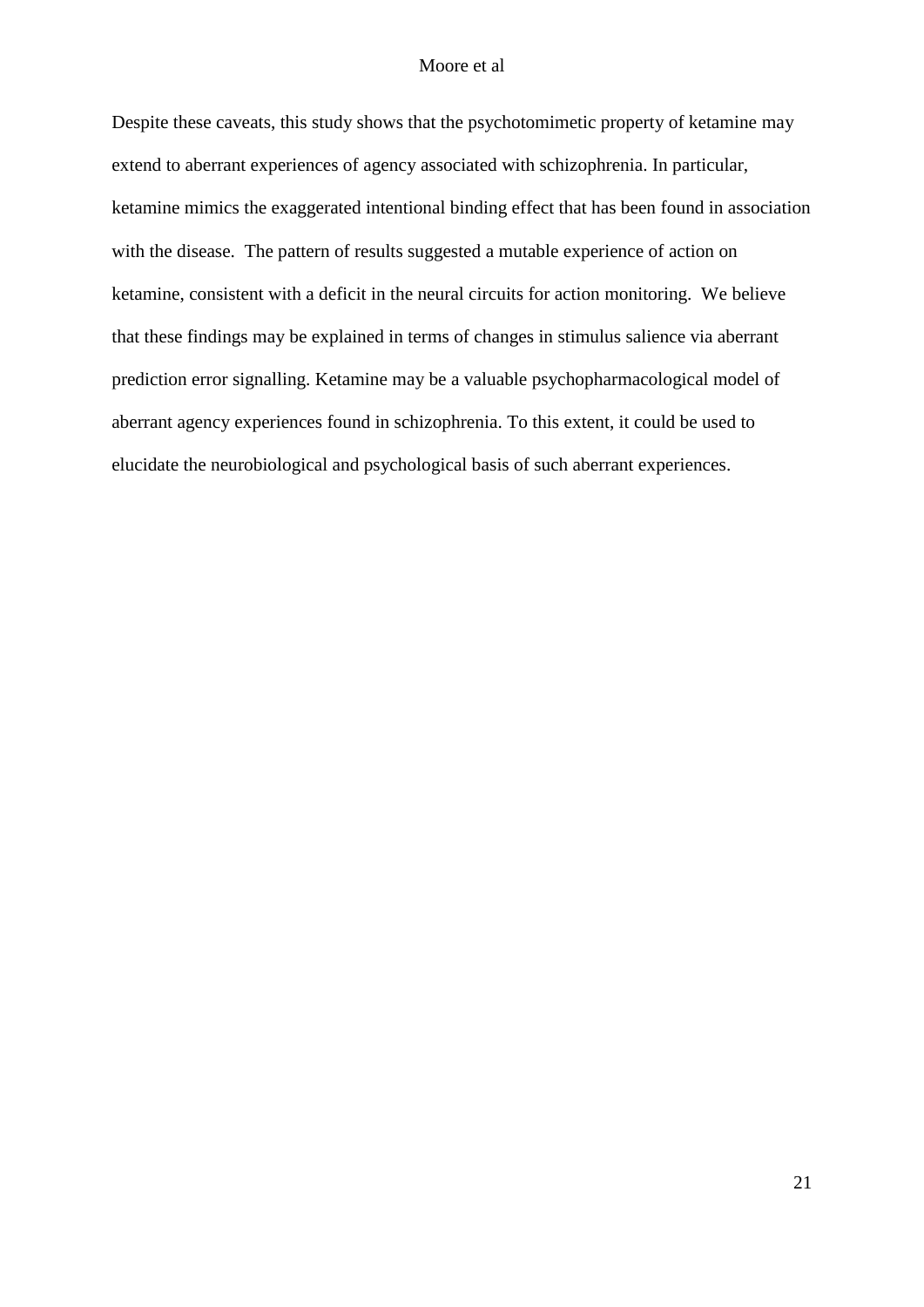Despite these caveats, this study shows that the psychotomimetic property of ketamine may extend to aberrant experiences of agency associated with schizophrenia. In particular, ketamine mimics the exaggerated intentional binding effect that has been found in association with the disease. The pattern of results suggested a mutable experience of action on ketamine, consistent with a deficit in the neural circuits for action monitoring. We believe that these findings may be explained in terms of changes in stimulus salience via aberrant prediction error signalling. Ketamine may be a valuable psychopharmacological model of aberrant agency experiences found in schizophrenia. To this extent, it could be used to elucidate the neurobiological and psychological basis of such aberrant experiences.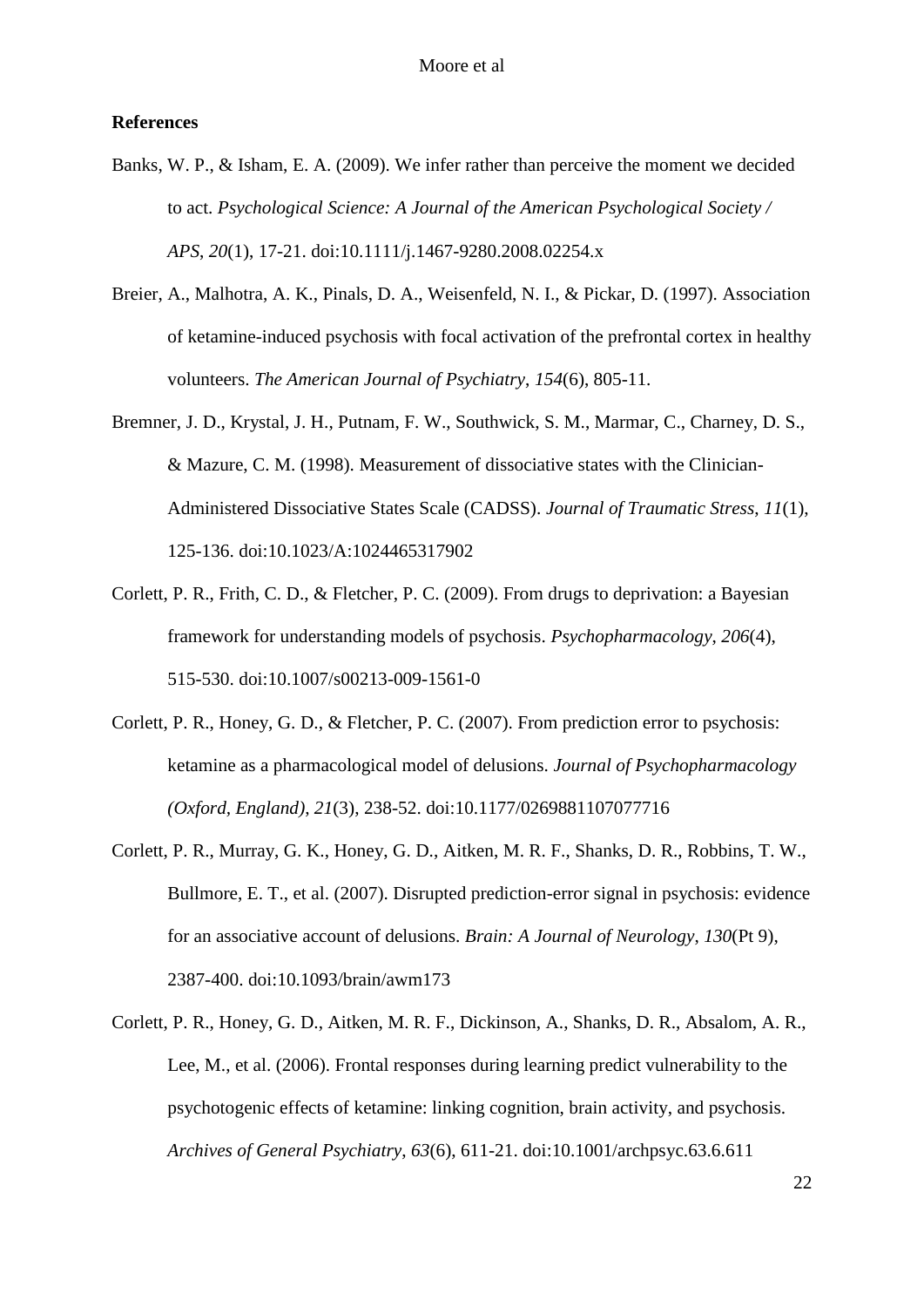## **References**

- Banks, W. P., & Isham, E. A. (2009). We infer rather than perceive the moment we decided to act. *Psychological Science: A Journal of the American Psychological Society / APS*, *20*(1), 17-21. doi:10.1111/j.1467-9280.2008.02254.x
- Breier, A., Malhotra, A. K., Pinals, D. A., Weisenfeld, N. I., & Pickar, D. (1997). Association of ketamine-induced psychosis with focal activation of the prefrontal cortex in healthy volunteers. *The American Journal of Psychiatry*, *154*(6), 805-11.
- Bremner, J. D., Krystal, J. H., Putnam, F. W., Southwick, S. M., Marmar, C., Charney, D. S., & Mazure, C. M. (1998). Measurement of dissociative states with the Clinician-Administered Dissociative States Scale (CADSS). *Journal of Traumatic Stress*, *11*(1), 125-136. doi:10.1023/A:1024465317902
- Corlett, P. R., Frith, C. D., & Fletcher, P. C. (2009). From drugs to deprivation: a Bayesian framework for understanding models of psychosis. *Psychopharmacology*, *206*(4), 515-530. doi:10.1007/s00213-009-1561-0
- Corlett, P. R., Honey, G. D., & Fletcher, P. C. (2007). From prediction error to psychosis: ketamine as a pharmacological model of delusions. *Journal of Psychopharmacology (Oxford, England)*, *21*(3), 238-52. doi:10.1177/0269881107077716
- Corlett, P. R., Murray, G. K., Honey, G. D., Aitken, M. R. F., Shanks, D. R., Robbins, T. W., Bullmore, E. T., et al. (2007). Disrupted prediction-error signal in psychosis: evidence for an associative account of delusions. *Brain: A Journal of Neurology*, *130*(Pt 9), 2387-400. doi:10.1093/brain/awm173
- Corlett, P. R., Honey, G. D., Aitken, M. R. F., Dickinson, A., Shanks, D. R., Absalom, A. R., Lee, M., et al. (2006). Frontal responses during learning predict vulnerability to the psychotogenic effects of ketamine: linking cognition, brain activity, and psychosis. *Archives of General Psychiatry*, *63*(6), 611-21. doi:10.1001/archpsyc.63.6.611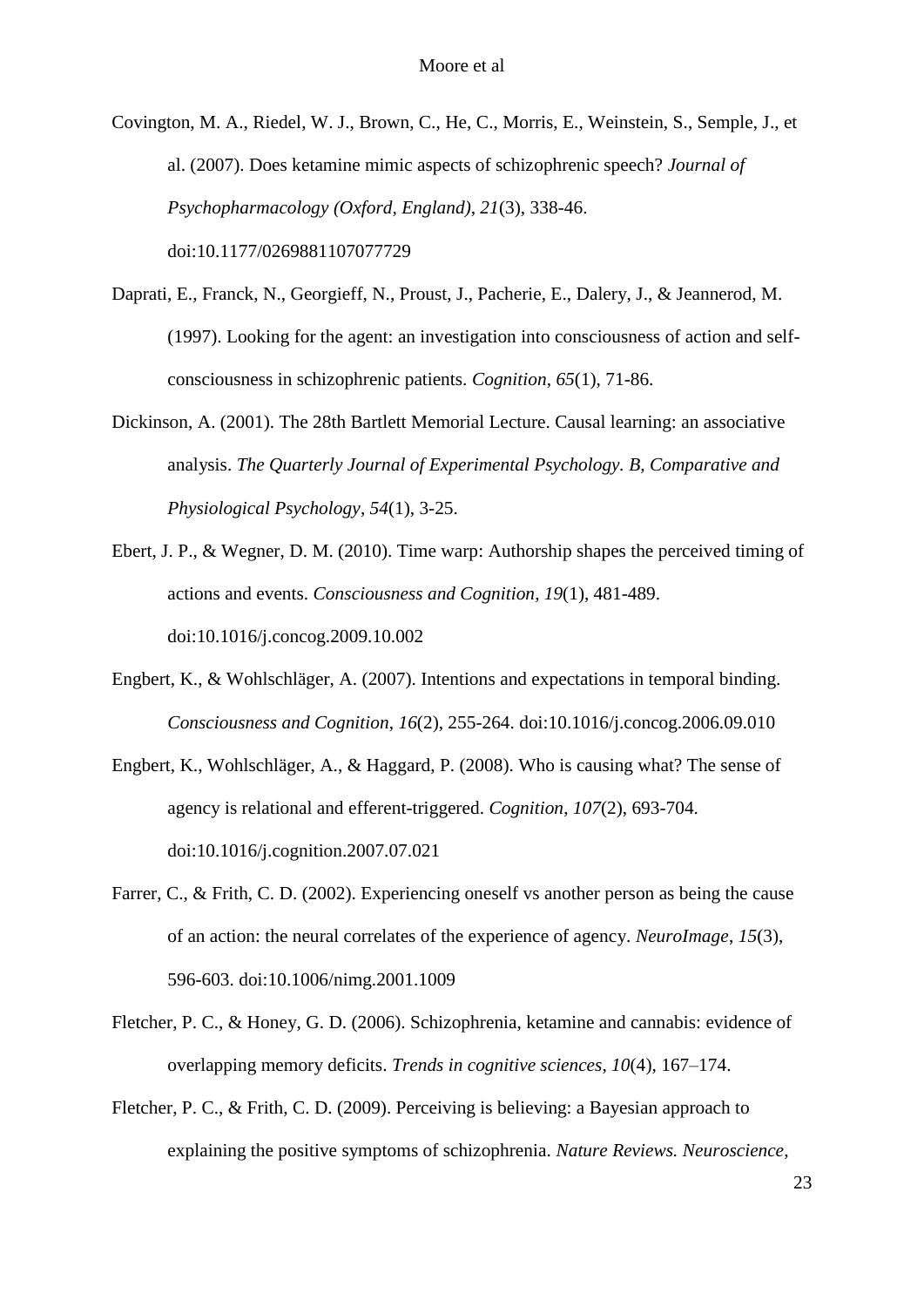Covington, M. A., Riedel, W. J., Brown, C., He, C., Morris, E., Weinstein, S., Semple, J., et al. (2007). Does ketamine mimic aspects of schizophrenic speech? *Journal of Psychopharmacology (Oxford, England)*, *21*(3), 338-46. doi:10.1177/0269881107077729

- Daprati, E., Franck, N., Georgieff, N., Proust, J., Pacherie, E., Dalery, J., & Jeannerod, M. (1997). Looking for the agent: an investigation into consciousness of action and selfconsciousness in schizophrenic patients. *Cognition*, *65*(1), 71-86.
- Dickinson, A. (2001). The 28th Bartlett Memorial Lecture. Causal learning: an associative analysis. *The Quarterly Journal of Experimental Psychology. B, Comparative and Physiological Psychology*, *54*(1), 3-25.
- Ebert, J. P., & Wegner, D. M. (2010). Time warp: Authorship shapes the perceived timing of actions and events. *Consciousness and Cognition*, *19*(1), 481-489. doi:10.1016/j.concog.2009.10.002
- Engbert, K., & Wohlschläger, A. (2007). Intentions and expectations in temporal binding. *Consciousness and Cognition*, *16*(2), 255-264. doi:10.1016/j.concog.2006.09.010
- Engbert, K., Wohlschläger, A., & Haggard, P. (2008). Who is causing what? The sense of agency is relational and efferent-triggered. *Cognition*, *107*(2), 693-704. doi:10.1016/j.cognition.2007.07.021
- Farrer, C., & Frith, C. D. (2002). Experiencing oneself vs another person as being the cause of an action: the neural correlates of the experience of agency. *NeuroImage*, *15*(3), 596-603. doi:10.1006/nimg.2001.1009
- Fletcher, P. C., & Honey, G. D. (2006). Schizophrenia, ketamine and cannabis: evidence of overlapping memory deficits. *Trends in cognitive sciences*, *10*(4), 167–174.
- Fletcher, P. C., & Frith, C. D. (2009). Perceiving is believing: a Bayesian approach to explaining the positive symptoms of schizophrenia. *Nature Reviews. Neuroscience*,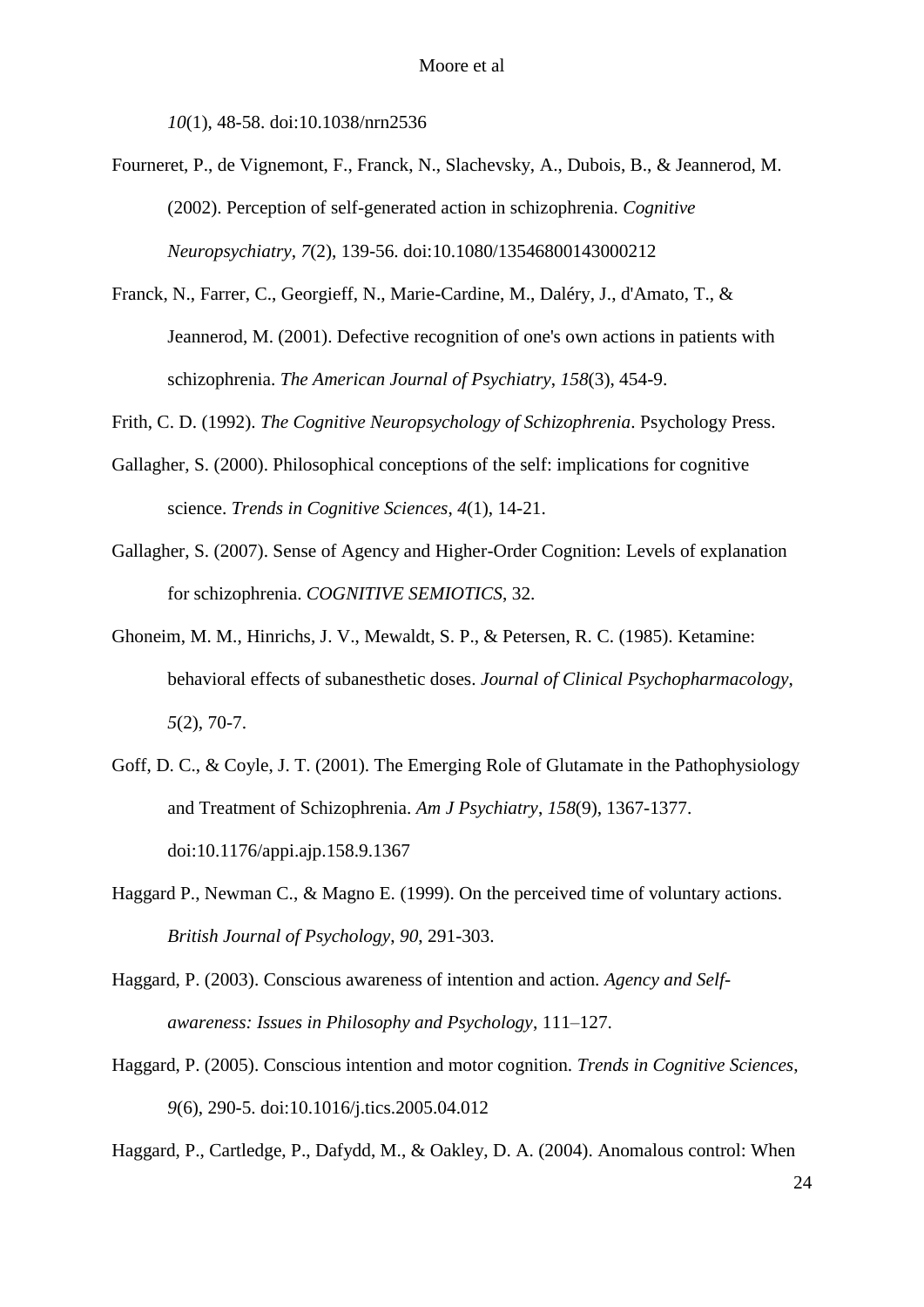*10*(1), 48-58. doi:10.1038/nrn2536

- Fourneret, P., de Vignemont, F., Franck, N., Slachevsky, A., Dubois, B., & Jeannerod, M. (2002). Perception of self-generated action in schizophrenia. *Cognitive Neuropsychiatry*, *7*(2), 139-56. doi:10.1080/13546800143000212
- Franck, N., Farrer, C., Georgieff, N., Marie-Cardine, M., Daléry, J., d'Amato, T., & Jeannerod, M. (2001). Defective recognition of one's own actions in patients with schizophrenia. *The American Journal of Psychiatry*, *158*(3), 454-9.
- Frith, C. D. (1992). *The Cognitive Neuropsychology of Schizophrenia*. Psychology Press.
- Gallagher, S. (2000). Philosophical conceptions of the self: implications for cognitive science. *Trends in Cognitive Sciences*, *4*(1), 14-21.
- Gallagher, S. (2007). Sense of Agency and Higher-Order Cognition: Levels of explanation for schizophrenia. *COGNITIVE SEMIOTICS*, 32.
- Ghoneim, M. M., Hinrichs, J. V., Mewaldt, S. P., & Petersen, R. C. (1985). Ketamine: behavioral effects of subanesthetic doses. *Journal of Clinical Psychopharmacology*, *5*(2), 70-7.
- Goff, D. C., & Coyle, J. T. (2001). The Emerging Role of Glutamate in the Pathophysiology and Treatment of Schizophrenia. *Am J Psychiatry*, *158*(9), 1367-1377. doi:10.1176/appi.ajp.158.9.1367
- Haggard P., Newman C., & Magno E. (1999). On the perceived time of voluntary actions. *British Journal of Psychology*, *90*, 291-303.
- Haggard, P. (2003). Conscious awareness of intention and action. *Agency and Selfawareness: Issues in Philosophy and Psychology*, 111–127.
- Haggard, P. (2005). Conscious intention and motor cognition. *Trends in Cognitive Sciences*, *9*(6), 290-5. doi:10.1016/j.tics.2005.04.012

Haggard, P., Cartledge, P., Dafydd, M., & Oakley, D. A. (2004). Anomalous control: When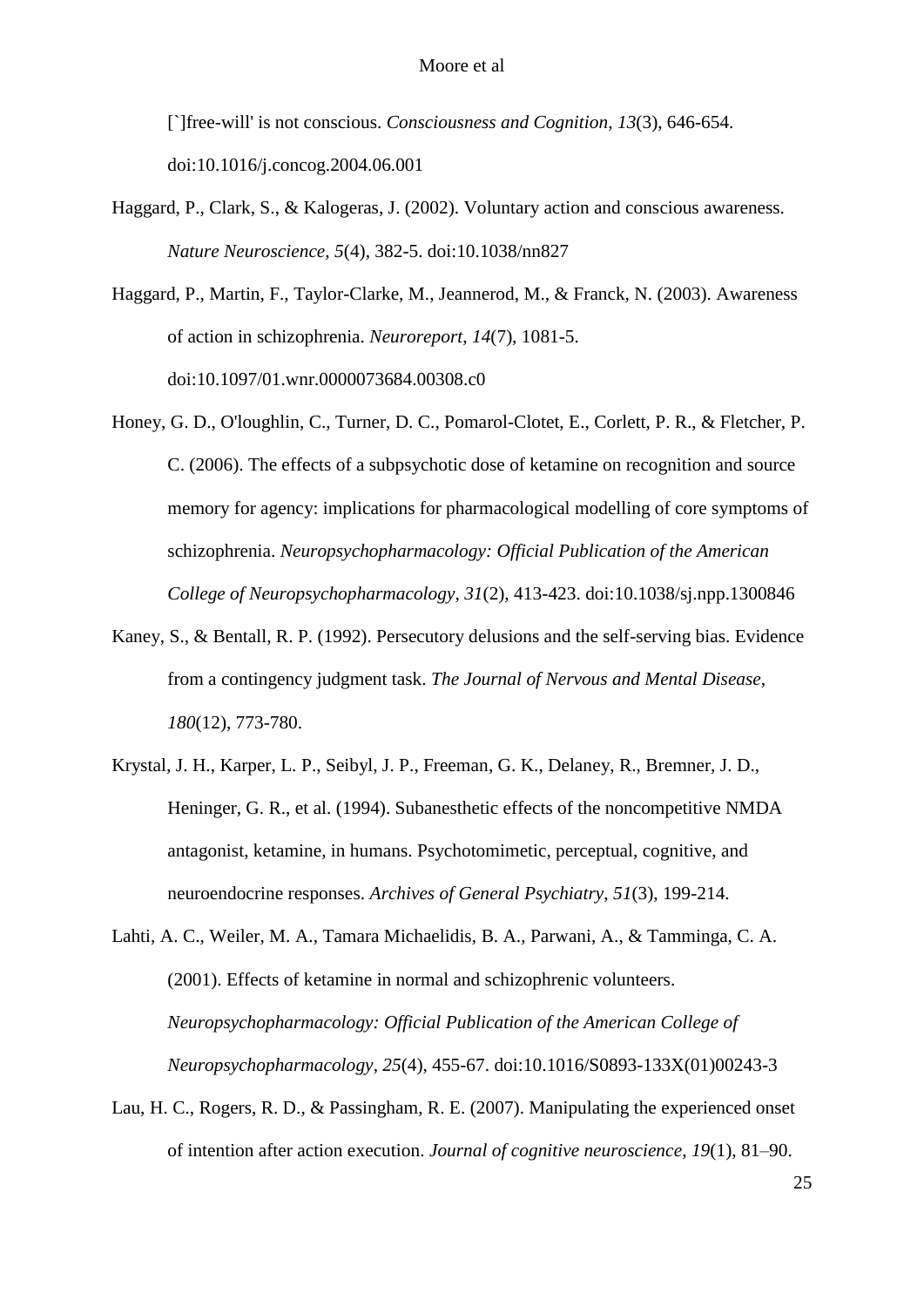[`]free-will' is not conscious. *Consciousness and Cognition*, *13*(3), 646-654. doi:10.1016/j.concog.2004.06.001

- Haggard, P., Clark, S., & Kalogeras, J. (2002). Voluntary action and conscious awareness. *Nature Neuroscience*, *5*(4), 382-5. doi:10.1038/nn827
- Haggard, P., Martin, F., Taylor-Clarke, M., Jeannerod, M., & Franck, N. (2003). Awareness of action in schizophrenia. *Neuroreport*, *14*(7), 1081-5. doi:10.1097/01.wnr.0000073684.00308.c0
- Honey, G. D., O'loughlin, C., Turner, D. C., Pomarol-Clotet, E., Corlett, P. R., & Fletcher, P. C. (2006). The effects of a subpsychotic dose of ketamine on recognition and source memory for agency: implications for pharmacological modelling of core symptoms of schizophrenia. *Neuropsychopharmacology: Official Publication of the American College of Neuropsychopharmacology*, *31*(2), 413-423. doi:10.1038/sj.npp.1300846
- Kaney, S., & Bentall, R. P. (1992). Persecutory delusions and the self-serving bias. Evidence from a contingency judgment task. *The Journal of Nervous and Mental Disease*, *180*(12), 773-780.
- Krystal, J. H., Karper, L. P., Seibyl, J. P., Freeman, G. K., Delaney, R., Bremner, J. D., Heninger, G. R., et al. (1994). Subanesthetic effects of the noncompetitive NMDA antagonist, ketamine, in humans. Psychotomimetic, perceptual, cognitive, and neuroendocrine responses. *Archives of General Psychiatry*, *51*(3), 199-214.
- Lahti, A. C., Weiler, M. A., Tamara Michaelidis, B. A., Parwani, A., & Tamminga, C. A. (2001). Effects of ketamine in normal and schizophrenic volunteers. *Neuropsychopharmacology: Official Publication of the American College of Neuropsychopharmacology*, *25*(4), 455-67. doi:10.1016/S0893-133X(01)00243-3
- Lau, H. C., Rogers, R. D., & Passingham, R. E. (2007). Manipulating the experienced onset of intention after action execution. *Journal of cognitive neuroscience*, *19*(1), 81–90.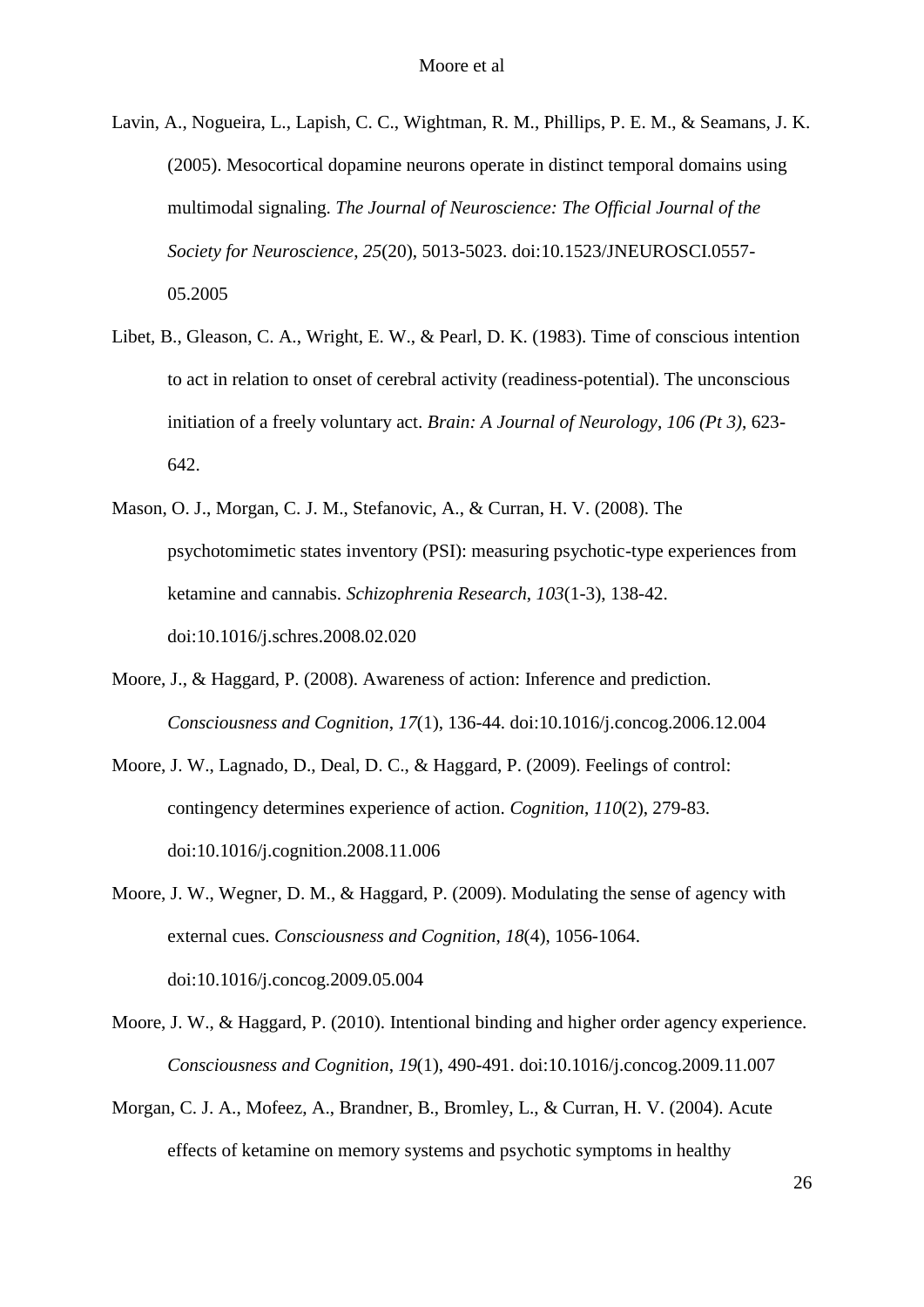- Lavin, A., Nogueira, L., Lapish, C. C., Wightman, R. M., Phillips, P. E. M., & Seamans, J. K. (2005). Mesocortical dopamine neurons operate in distinct temporal domains using multimodal signaling. *The Journal of Neuroscience: The Official Journal of the Society for Neuroscience*, *25*(20), 5013-5023. doi:10.1523/JNEUROSCI.0557- 05.2005
- Libet, B., Gleason, C. A., Wright, E. W., & Pearl, D. K. (1983). Time of conscious intention to act in relation to onset of cerebral activity (readiness-potential). The unconscious initiation of a freely voluntary act. *Brain: A Journal of Neurology*, *106 (Pt 3)*, 623- 642.
- Mason, O. J., Morgan, C. J. M., Stefanovic, A., & Curran, H. V. (2008). The psychotomimetic states inventory (PSI): measuring psychotic-type experiences from ketamine and cannabis. *Schizophrenia Research*, *103*(1-3), 138-42. doi:10.1016/j.schres.2008.02.020
- Moore, J., & Haggard, P. (2008). Awareness of action: Inference and prediction. *Consciousness and Cognition*, *17*(1), 136-44. doi:10.1016/j.concog.2006.12.004
- Moore, J. W., Lagnado, D., Deal, D. C., & Haggard, P. (2009). Feelings of control: contingency determines experience of action. *Cognition*, *110*(2), 279-83. doi:10.1016/j.cognition.2008.11.006
- Moore, J. W., Wegner, D. M., & Haggard, P. (2009). Modulating the sense of agency with external cues. *Consciousness and Cognition*, *18*(4), 1056-1064. doi:10.1016/j.concog.2009.05.004
- Moore, J. W., & Haggard, P. (2010). Intentional binding and higher order agency experience. *Consciousness and Cognition*, *19*(1), 490-491. doi:10.1016/j.concog.2009.11.007
- Morgan, C. J. A., Mofeez, A., Brandner, B., Bromley, L., & Curran, H. V. (2004). Acute effects of ketamine on memory systems and psychotic symptoms in healthy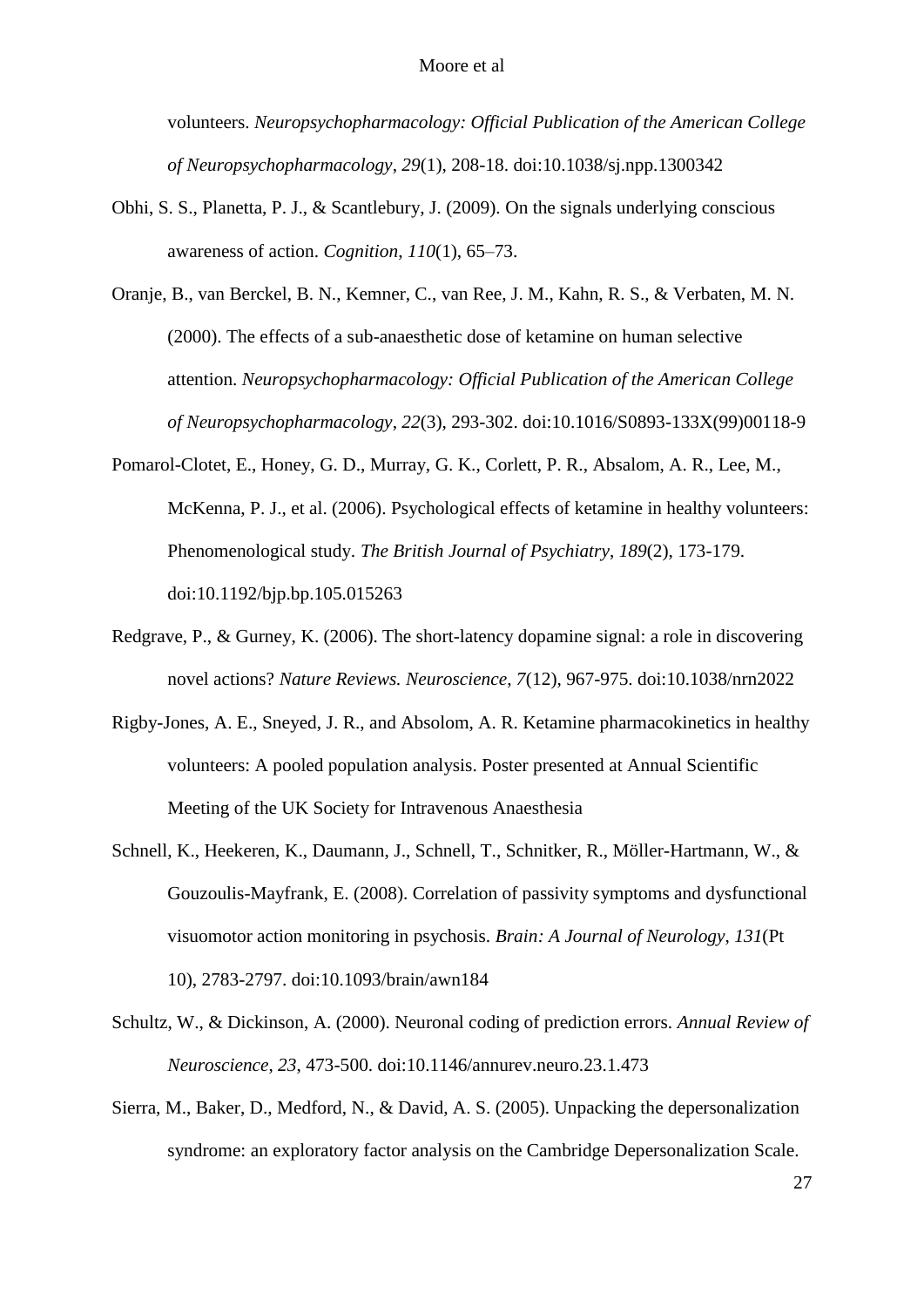volunteers. *Neuropsychopharmacology: Official Publication of the American College of Neuropsychopharmacology*, *29*(1), 208-18. doi:10.1038/sj.npp.1300342

- Obhi, S. S., Planetta, P. J., & Scantlebury, J. (2009). On the signals underlying conscious awareness of action. *Cognition*, *110*(1), 65–73.
- Oranje, B., van Berckel, B. N., Kemner, C., van Ree, J. M., Kahn, R. S., & Verbaten, M. N. (2000). The effects of a sub-anaesthetic dose of ketamine on human selective attention. *Neuropsychopharmacology: Official Publication of the American College of Neuropsychopharmacology*, *22*(3), 293-302. doi:10.1016/S0893-133X(99)00118-9
- Pomarol-Clotet, E., Honey, G. D., Murray, G. K., Corlett, P. R., Absalom, A. R., Lee, M., McKenna, P. J., et al. (2006). Psychological effects of ketamine in healthy volunteers: Phenomenological study. *The British Journal of Psychiatry*, *189*(2), 173-179. doi:10.1192/bjp.bp.105.015263
- Redgrave, P., & Gurney, K. (2006). The short-latency dopamine signal: a role in discovering novel actions? *Nature Reviews. Neuroscience*, *7*(12), 967-975. doi:10.1038/nrn2022
- Rigby-Jones, A. E., Sneyed, J. R., and Absolom, A. R. Ketamine pharmacokinetics in healthy volunteers: A pooled population analysis. Poster presented at Annual Scientific Meeting of the UK Society for Intravenous Anaesthesia
- Schnell, K., Heekeren, K., Daumann, J., Schnell, T., Schnitker, R., Möller-Hartmann, W., & Gouzoulis-Mayfrank, E. (2008). Correlation of passivity symptoms and dysfunctional visuomotor action monitoring in psychosis. *Brain: A Journal of Neurology*, *131*(Pt 10), 2783-2797. doi:10.1093/brain/awn184
- Schultz, W., & Dickinson, A. (2000). Neuronal coding of prediction errors. *Annual Review of Neuroscience*, *23*, 473-500. doi:10.1146/annurev.neuro.23.1.473
- Sierra, M., Baker, D., Medford, N., & David, A. S. (2005). Unpacking the depersonalization syndrome: an exploratory factor analysis on the Cambridge Depersonalization Scale.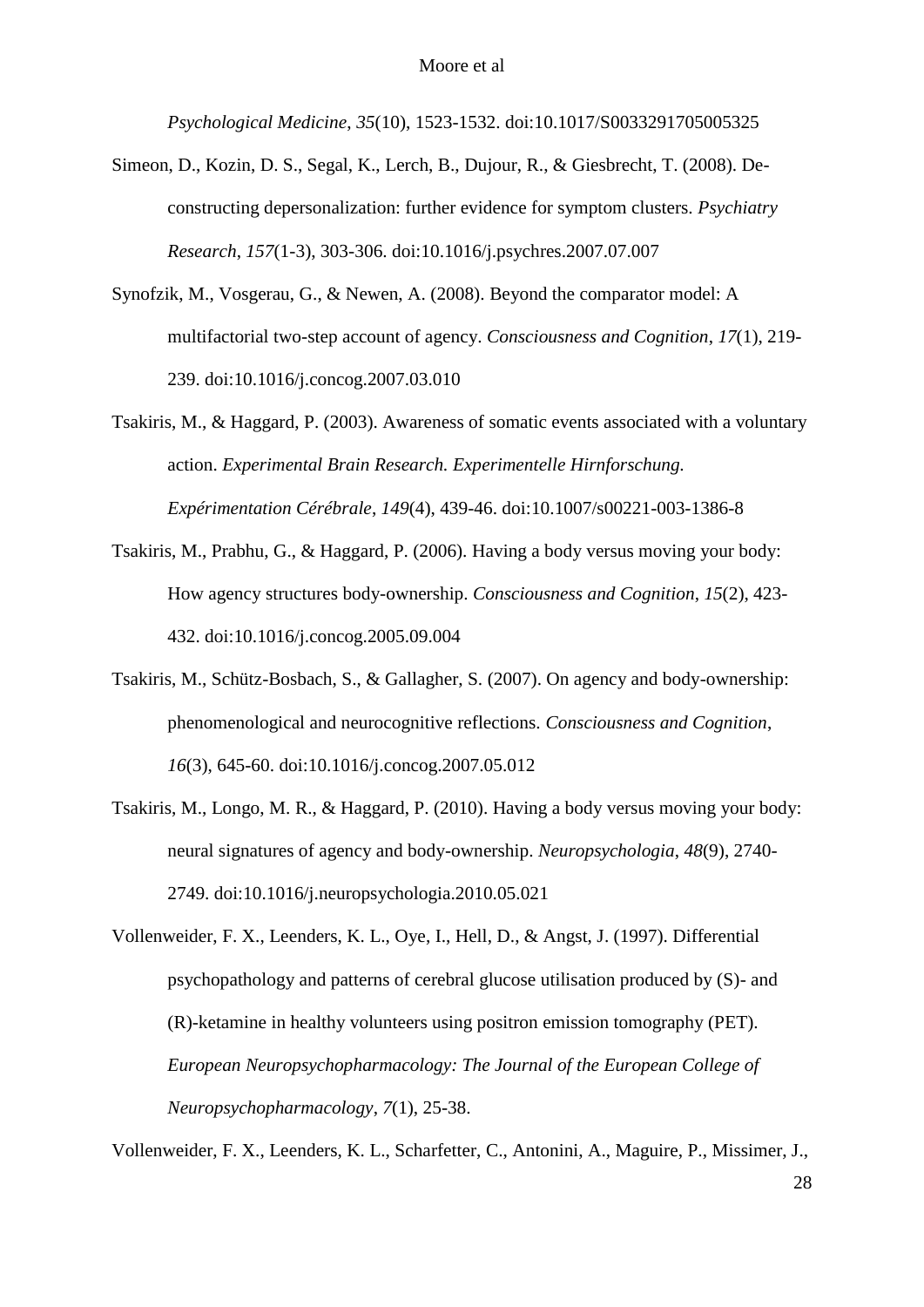*Psychological Medicine*, *35*(10), 1523-1532. doi:10.1017/S0033291705005325

- Simeon, D., Kozin, D. S., Segal, K., Lerch, B., Dujour, R., & Giesbrecht, T. (2008). Deconstructing depersonalization: further evidence for symptom clusters. *Psychiatry Research*, *157*(1-3), 303-306. doi:10.1016/j.psychres.2007.07.007
- Synofzik, M., Vosgerau, G., & Newen, A. (2008). Beyond the comparator model: A multifactorial two-step account of agency. *Consciousness and Cognition*, *17*(1), 219- 239. doi:10.1016/j.concog.2007.03.010
- Tsakiris, M., & Haggard, P. (2003). Awareness of somatic events associated with a voluntary action. *Experimental Brain Research. Experimentelle Hirnforschung. Expérimentation Cérébrale*, *149*(4), 439-46. doi:10.1007/s00221-003-1386-8
- Tsakiris, M., Prabhu, G., & Haggard, P. (2006). Having a body versus moving your body: How agency structures body-ownership. *Consciousness and Cognition*, *15*(2), 423- 432. doi:10.1016/j.concog.2005.09.004
- Tsakiris, M., Schütz-Bosbach, S., & Gallagher, S. (2007). On agency and body-ownership: phenomenological and neurocognitive reflections. *Consciousness and Cognition*, *16*(3), 645-60. doi:10.1016/j.concog.2007.05.012
- Tsakiris, M., Longo, M. R., & Haggard, P. (2010). Having a body versus moving your body: neural signatures of agency and body-ownership. *Neuropsychologia*, *48*(9), 2740- 2749. doi:10.1016/j.neuropsychologia.2010.05.021

Vollenweider, F. X., Leenders, K. L., Oye, I., Hell, D., & Angst, J. (1997). Differential psychopathology and patterns of cerebral glucose utilisation produced by (S)- and (R)-ketamine in healthy volunteers using positron emission tomography (PET). *European Neuropsychopharmacology: The Journal of the European College of Neuropsychopharmacology*, *7*(1), 25-38.

Vollenweider, F. X., Leenders, K. L., Scharfetter, C., Antonini, A., Maguire, P., Missimer, J.,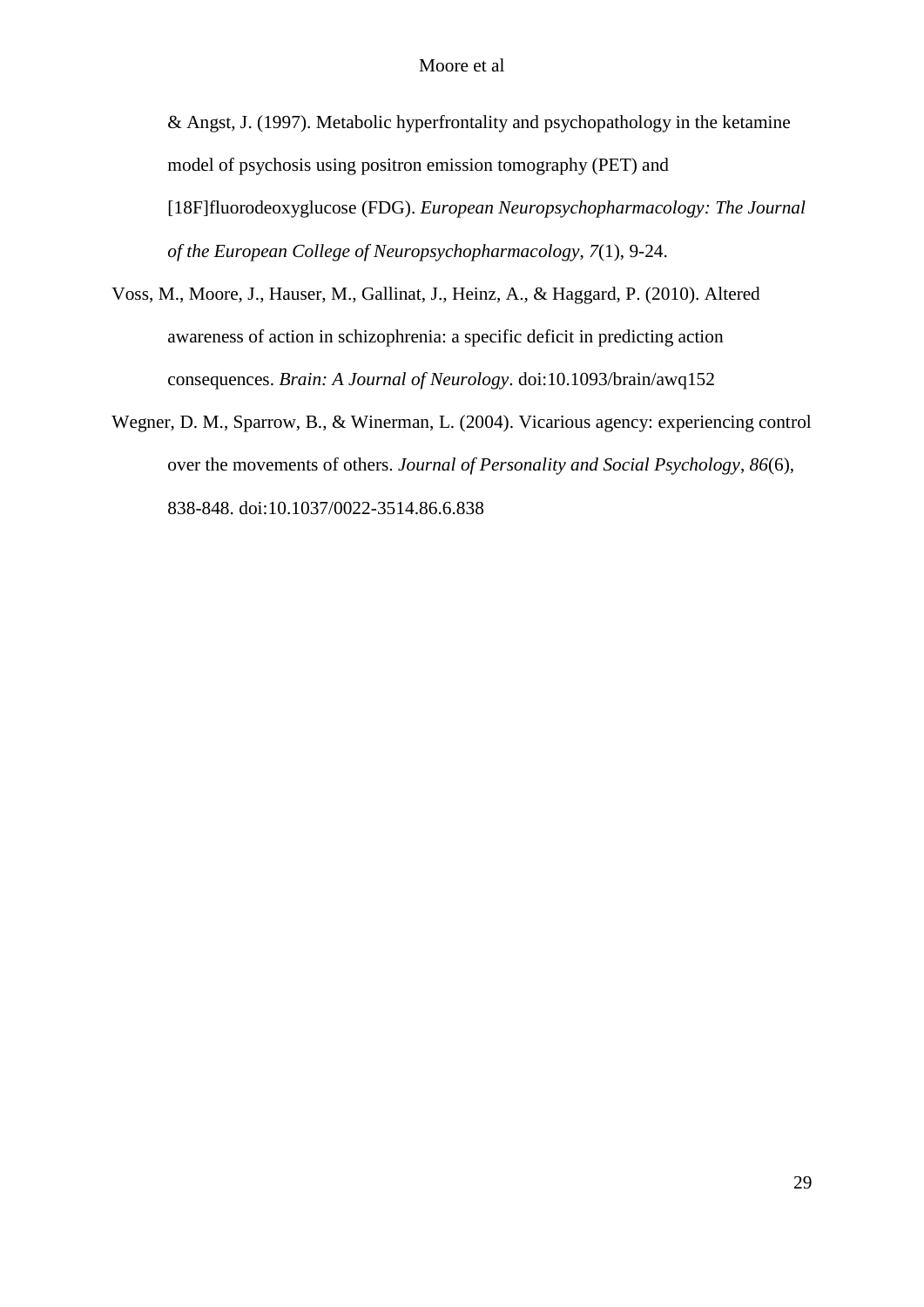& Angst, J. (1997). Metabolic hyperfrontality and psychopathology in the ketamine model of psychosis using positron emission tomography (PET) and [18F]fluorodeoxyglucose (FDG). *European Neuropsychopharmacology: The Journal of the European College of Neuropsychopharmacology*, *7*(1), 9-24.

- Voss, M., Moore, J., Hauser, M., Gallinat, J., Heinz, A., & Haggard, P. (2010). Altered awareness of action in schizophrenia: a specific deficit in predicting action consequences. *Brain: A Journal of Neurology*. doi:10.1093/brain/awq152
- Wegner, D. M., Sparrow, B., & Winerman, L. (2004). Vicarious agency: experiencing control over the movements of others. *Journal of Personality and Social Psychology*, *86*(6), 838-848. doi:10.1037/0022-3514.86.6.838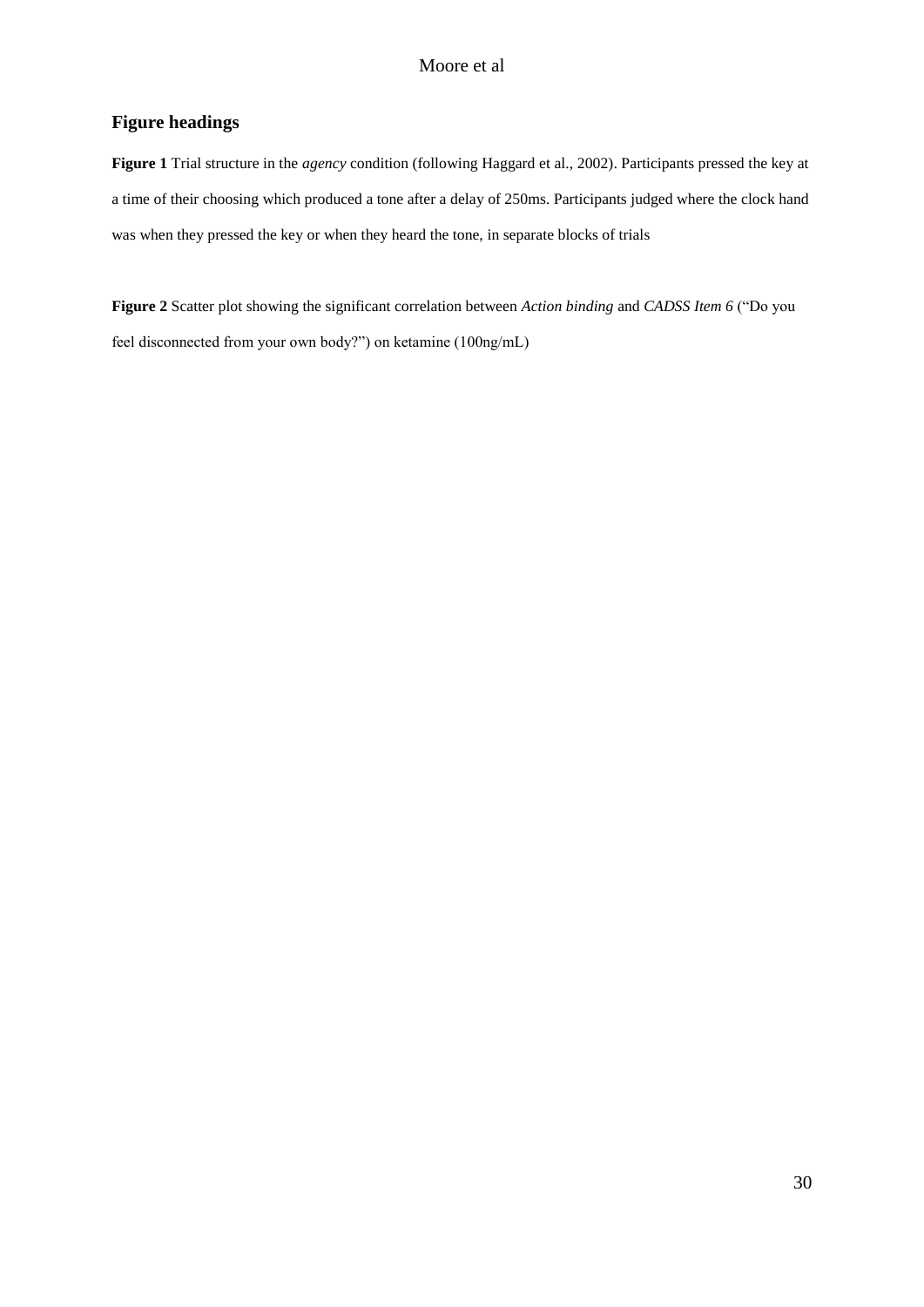## **Figure headings**

**Figure 1** Trial structure in the *agency* condition (following Haggard et al., 2002). Participants pressed the key at a time of their choosing which produced a tone after a delay of 250ms. Participants judged where the clock hand was when they pressed the key or when they heard the tone, in separate blocks of trials

**Figure 2** Scatter plot showing the significant correlation between *Action binding* and *CADSS Item 6* ("Do you feel disconnected from your own body?") on ketamine (100ng/mL)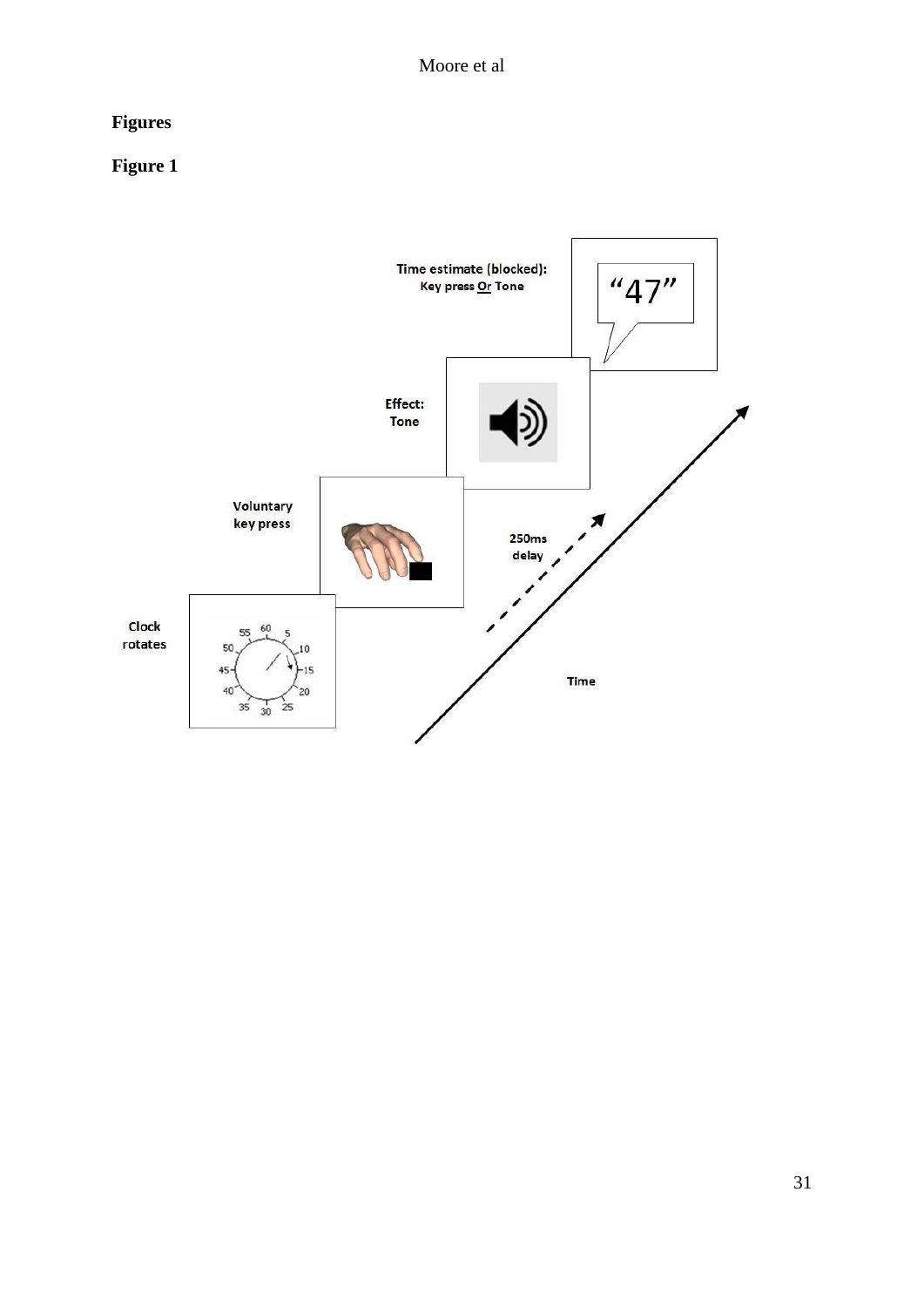# **Figures**

# **Figure 1**

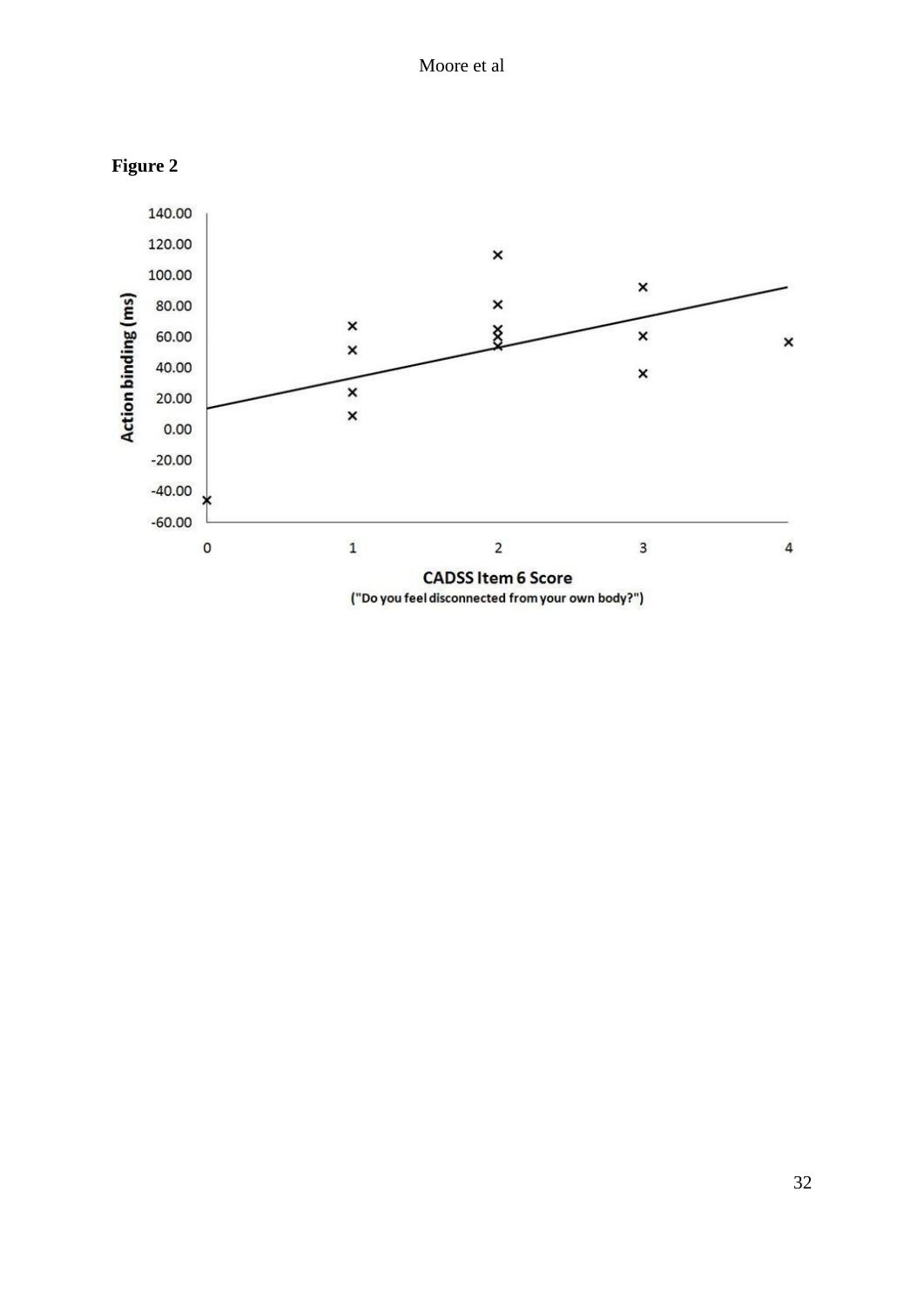